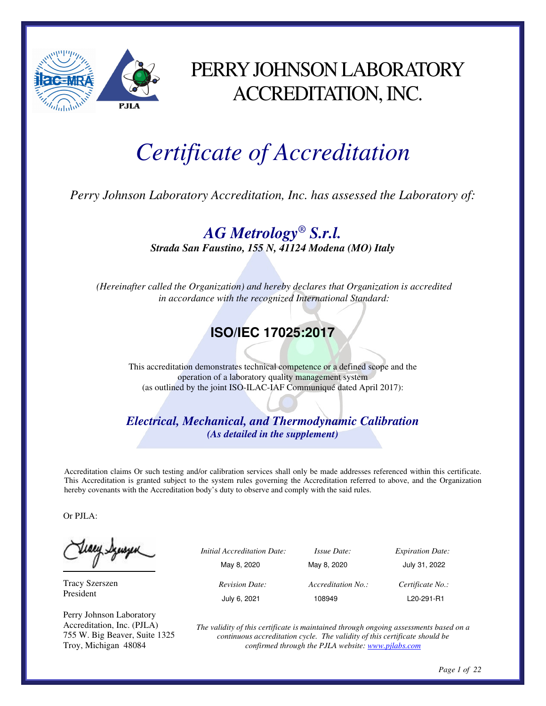

# PERRY JOHNSON LABORATORY ACCREDITATION, INC.

# *Certificate of Accreditation*

*Perry Johnson Laboratory Accreditation, Inc. has assessed the Laboratory of:* 

*AG Metrology® S.r.l. Strada San Faustino, 155 N, 41124 Modena (MO) Italy*

 *(Hereinafter called the Organization) and hereby declares that Organization is accredited in accordance with the recognized International Standard:* 

#### **ISO/IEC 17025:2017**

This accreditation demonstrates technical competence or a defined scope and the operation of a laboratory quality management system (as outlined by the joint ISO-ILAC-IAF Communiqué dated April 2017):

*Electrical, Mechanical, and Thermodynamic Calibration (As detailed in the supplement)* 

Accreditation claims Or such testing and/or calibration services shall only be made addresses referenced within this certificate. This Accreditation is granted subject to the system rules governing the Accreditation referred to above, and the Organization hereby covenants with the Accreditation body's duty to observe and comply with the said rules.

Or PJLA:

teacy Synsyem

Tracy Szerszen President

Perry Johnson Laboratory Accreditation, Inc. (PJLA) 755 W. Big Beaver, Suite 1325 Troy, Michigan 48084

| <i>Initial Accreditation Date:</i> | <i>Issue Date:</i> | <b>Expiration Date:</b> |
|------------------------------------|--------------------|-------------------------|
| May 8, 2020                        | May 8, 2020        | July 31, 2022           |
| <b>Revision Date:</b>              | Accreditation No.: | Certificate No.:        |
| July 6, 2021                       | 108949             | L20-291-R1              |
|                                    |                    |                         |

*The validity of this certificate is maintained through ongoing assessments based on a continuous accreditation cycle. The validity of this certificate should be confirmed through the PJLA website: www.pjlabs.com*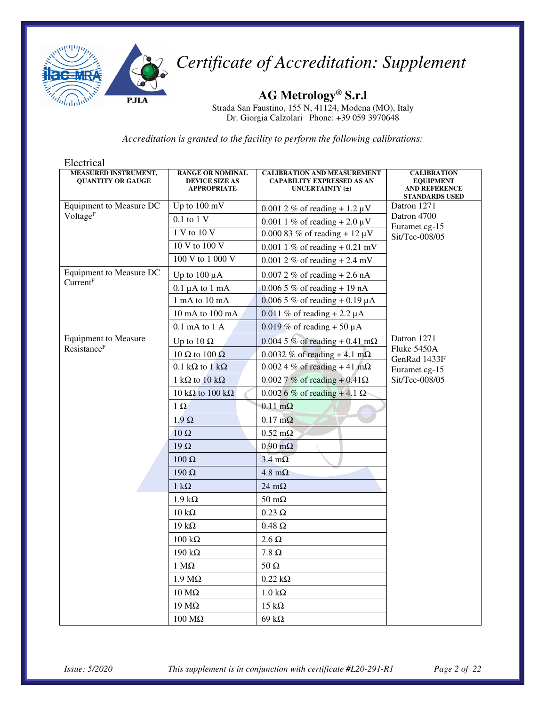

**AG Metrology® S.r.l**  Strada San Faustino, 155 N, 41124, Modena (MO), Italy Dr. Giorgia Calzolari Phone: +39 059 3970648

| Electrical                                              |                                                                        |                                                                                                |                                                                                         |
|---------------------------------------------------------|------------------------------------------------------------------------|------------------------------------------------------------------------------------------------|-----------------------------------------------------------------------------------------|
| <b>MEASURED INSTRUMENT,</b><br><b>QUANTITY OR GAUGE</b> | <b>RANGE OR NOMINAL</b><br><b>DEVICE SIZE AS</b><br><b>APPROPRIATE</b> | <b>CALIBRATION AND MEASUREMENT</b><br><b>CAPABILITY EXPRESSED AS AN</b><br>UNCERTAINTY $(\pm)$ | <b>CALIBRATION</b><br><b>EQUIPMENT</b><br><b>AND REFERENCE</b><br><b>STANDARDS USED</b> |
| Equipment to Measure DC                                 | Up to 100 mV                                                           | 0.001 2 % of reading $+1.2 \mu V$                                                              | Datron 1271                                                                             |
| Voltage <sup>F</sup>                                    | $0.1$ to $1$ V                                                         | 0.001 1 % of reading $+ 2.0 \mu V$                                                             | Datron 4700<br>Euramet cg-15                                                            |
|                                                         | 1 V to 10 V                                                            | 0.000 83 % of reading + 12 $\mu$ V                                                             | Sit/Tec-008/05                                                                          |
|                                                         | 10 V to 100 V                                                          | 0.001 1 % of reading $+ 0.21$ mV                                                               |                                                                                         |
|                                                         | 100 V to 1 000 V                                                       | 0.001 2 % of reading $+ 2.4$ mV                                                                |                                                                                         |
| <b>Equipment to Measure DC</b>                          | Up to $100 \mu A$                                                      | $0.0072 \%$ of reading + 2.6 nA                                                                |                                                                                         |
| Current <sup>F</sup>                                    | $0.1 \mu A$ to $1 \mu A$                                               | $0.0065 \%$ of reading + 19 nA                                                                 |                                                                                         |
|                                                         | 1 mA to 10 mA                                                          | 0.006 5 % of reading + 0.19 $\mu$ A                                                            |                                                                                         |
|                                                         | $10 \text{ mA}$ to $100 \text{ mA}$                                    | 0.011 % of reading $+ 2.2 \mu A$                                                               |                                                                                         |
|                                                         | $0.1$ mA to $1$ A                                                      | $0.019\%$ of reading + 50 µA                                                                   |                                                                                         |
| Equipment to Measure                                    | Up to 10 $\Omega$                                                      | $0.0045\%$ of reading + 0.41 m $\Omega$                                                        | Datron 1271                                                                             |
| Resistance <sup>F</sup>                                 | 10 $\Omega$ to 100 $\Omega$                                            | 0.0032 % of reading $+4.1$ m $\Omega$                                                          | Fluke 5450A<br>GenRad 1433F                                                             |
|                                                         | 0.1 k $\Omega$ to 1 k $\Omega$                                         | $0.0024\%$ of reading + 41 m $\Omega$                                                          | Euramet cg-15                                                                           |
|                                                         | 1 k $\Omega$ to 10 k $\Omega$                                          | 0.002 7 % of reading + 0.41Ω                                                                   | Sit/Tec-008/05                                                                          |
|                                                         | 10 kΩ to 100 kΩ                                                        | $0.002$ 6 % of reading + 4.1 $\Omega$                                                          |                                                                                         |
|                                                         | $1 \Omega$                                                             | $0.11 \text{ m}\Omega$                                                                         |                                                                                         |
|                                                         | $1.9 \Omega$                                                           | $0.17 \text{ m}\Omega$                                                                         |                                                                                         |
|                                                         | $10 \Omega$                                                            | $0.52 \text{ mA}$                                                                              |                                                                                         |
|                                                         | $19\Omega$                                                             | $0.90 \text{ m}\Omega$                                                                         |                                                                                         |
|                                                         | $100 \Omega$                                                           | $3.4 \text{ m}\Omega$                                                                          |                                                                                         |
|                                                         | $190 \Omega$                                                           | $4.8 \text{ m}\Omega$                                                                          |                                                                                         |
|                                                         | 1 k $\Omega$                                                           | 24 m $\Omega$                                                                                  |                                                                                         |
|                                                         | $1.9 k\Omega$                                                          | $50 \text{ m}\Omega$                                                                           |                                                                                         |
|                                                         | $10 \text{ k}\Omega$                                                   | $0.23 \Omega$                                                                                  |                                                                                         |
|                                                         | 19 k $\Omega$                                                          | $0.48$ $\Omega$                                                                                |                                                                                         |
|                                                         | $100 \text{ k}\Omega$                                                  | $2.6 \Omega$                                                                                   |                                                                                         |
|                                                         | 190 k $\Omega$                                                         | 7.8 $\Omega$                                                                                   |                                                                                         |
|                                                         | $1 \text{ M}\Omega$                                                    | $50 \Omega$                                                                                    |                                                                                         |
|                                                         | 1.9 Μ $Ω$                                                              | $0.22 \text{ k}\Omega$                                                                         |                                                                                         |
|                                                         | $10\,\mathrm{M\Omega}$                                                 | $1.0~\mathrm{k}\Omega$                                                                         |                                                                                         |
|                                                         | 19 ΜΩ                                                                  | $15 \text{ k}\Omega$                                                                           |                                                                                         |
|                                                         | $100 \text{ M}\Omega$                                                  | $69 \text{ k}\Omega$                                                                           |                                                                                         |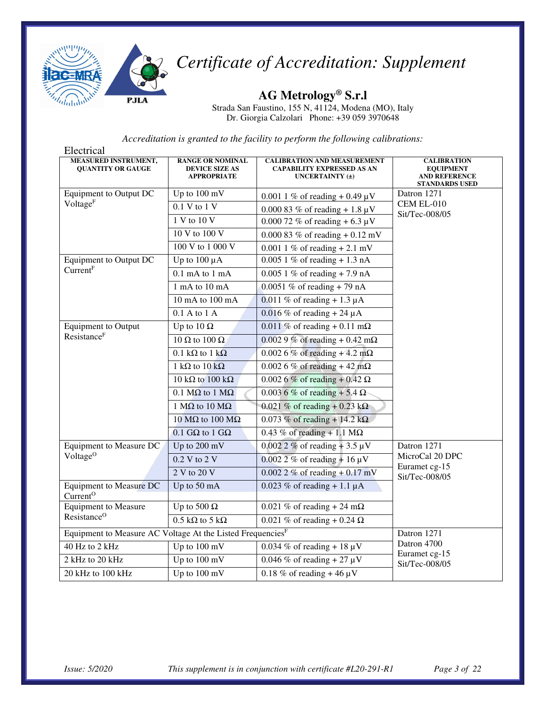

**AG Metrology® S.r.l** 

Strada San Faustino, 155 N, 41124, Modena (MO), Italy Dr. Giorgia Calzolari Phone: +39 059 3970648

| Electrical                                                             |                                                                        |                                                                                                |                                                                                         |
|------------------------------------------------------------------------|------------------------------------------------------------------------|------------------------------------------------------------------------------------------------|-----------------------------------------------------------------------------------------|
| MEASURED INSTRUMENT,<br><b>QUANTITY OR GAUGE</b>                       | <b>RANGE OR NOMINAL</b><br><b>DEVICE SIZE AS</b><br><b>APPROPRIATE</b> | <b>CALIBRATION AND MEASUREMENT</b><br><b>CAPABILITY EXPRESSED AS AN</b><br>UNCERTAINTY $(\pm)$ | <b>CALIBRATION</b><br><b>EQUIPMENT</b><br><b>AND REFERENCE</b><br><b>STANDARDS USED</b> |
| <b>Equipment to Output DC</b>                                          | Up to 100 mV                                                           | 0.001 1 % of reading $+$ 0.49 µV                                                               | Datron 1271                                                                             |
| Voltage <sup>F</sup>                                                   | 0.1 V to 1 V                                                           | 0.000 83 % of reading $+1.8 \mu V$                                                             | CEM EL-010                                                                              |
|                                                                        | 1 V to 10 V                                                            | 0.000 72 % of reading $+ 6.3 \mu V$                                                            | Sit/Tec-008/05                                                                          |
|                                                                        | 10 V to 100 V                                                          | 0.000 83 % of reading $+0.12$ mV                                                               |                                                                                         |
|                                                                        | 100 V to 1 000 V                                                       | 0.001 1 % of reading $+ 2.1$ mV                                                                |                                                                                         |
| Equipment to Output DC                                                 | Up to $100 \mu A$                                                      | $0.0051\%$ of reading + 1.3 nA                                                                 |                                                                                         |
| Current <sup>F</sup>                                                   | $0.1$ mA to $1$ mA                                                     | $0.0051\%$ of reading + 7.9 nA                                                                 |                                                                                         |
|                                                                        | 1 mA to 10 mA                                                          | 0.0051 % of reading $+ 79$ nA                                                                  |                                                                                         |
|                                                                        | 10 mA to 100 mA                                                        | 0.011 % of reading + 1.3 $\mu$ A                                                               |                                                                                         |
|                                                                        | 0.1 A to 1 A                                                           | $0.016\%$ of reading + 24 µA                                                                   |                                                                                         |
| <b>Equipment to Output</b>                                             | Up to 10 $\Omega$                                                      | $0.011\%$ of reading + 0.11 m $\Omega$                                                         |                                                                                         |
| Resistance <sup>F</sup>                                                | 10 $\Omega$ to 100 $\Omega$                                            | 0.002 9 % of reading + 0.42 m $\Omega$                                                         |                                                                                         |
|                                                                        | 0.1 kΩ to 1 kΩ                                                         | $0.0026\%$ of reading + 4.2 m $\Omega$                                                         |                                                                                         |
|                                                                        | 1 k $\Omega$ to 10 k $\Omega$                                          | $0.0026\%$ of reading + 42 m $\Omega$                                                          |                                                                                         |
|                                                                        | 10 k $\Omega$ to 100 k $\Omega$                                        | 0.002 6 % of reading + 0.42 Ω                                                                  |                                                                                         |
|                                                                        | 0.1 $M\Omega$ to 1 $M\Omega$                                           | 0.003 6 % of reading + 5.4 Ω                                                                   |                                                                                         |
|                                                                        | 1 M $\Omega$ to 10 M $\Omega$                                          | 0.021 % of reading + 0.23 k $\Omega$                                                           |                                                                                         |
|                                                                        | 10 ΜΩ to 100 ΜΩ                                                        | 0.073 % of reading + 14.2 k $\Omega$                                                           |                                                                                         |
|                                                                        | 0.1 GΩ to 1 GΩ                                                         | $0.43\%$ of reading + 1.1 M $\Omega$                                                           |                                                                                         |
| Equipment to Measure DC                                                | Up to 200 mV                                                           | $0.0022\%$ of reading + 3.5 µV                                                                 | Datron 1271                                                                             |
| Voltage <sup>O</sup>                                                   | 0.2 V to 2 V                                                           | $0.0022 \%$ of reading + 16 µV                                                                 | MicroCal 20 DPC<br>Euramet cg-15                                                        |
|                                                                        | $2 V$ to $20 V$                                                        | $0.0022\%$ of reading + 0.17 mV                                                                | Sit/Tec-008/05                                                                          |
| <b>Equipment to Measure DC</b><br>Current <sup>O</sup>                 | Up to 50 mA                                                            | $0.023\%$ of reading + 1.1 µA                                                                  |                                                                                         |
| <b>Equipment to Measure</b>                                            | Up to 500 $\Omega$                                                     | 0.021 % of reading + 24 m $\Omega$                                                             |                                                                                         |
| Resistance <sup>O</sup>                                                | $0.5 \text{ k}\Omega$ to 5 k $\Omega$                                  | 0.021 % of reading + 0.24 $\Omega$                                                             |                                                                                         |
| Equipment to Measure AC Voltage At the Listed Frequencies <sup>F</sup> |                                                                        |                                                                                                | Datron 1271                                                                             |
| 40 Hz to 2 kHz                                                         | Up to 100 mV                                                           | $0.034\%$ of reading + 18 µV                                                                   | Datron 4700<br>Euramet cg-15                                                            |
| 2 kHz to 20 kHz                                                        | $\overline{Up}$ to 100 mV                                              | $0.046\%$ of reading + 27 µV                                                                   | Sit/Tec-008/05                                                                          |
| 20 kHz to 100 kHz                                                      | Up to $100 \text{ mV}$                                                 | 0.18 % of reading $+46 \mu V$                                                                  |                                                                                         |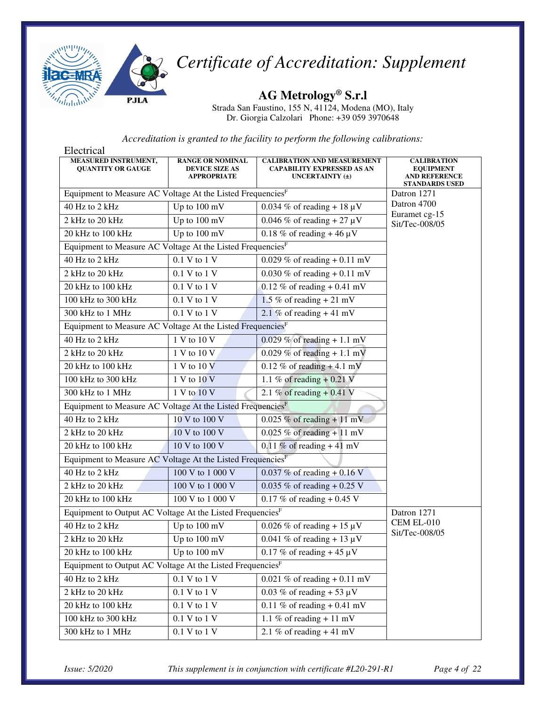

**AG Metrology® S.r.l** 

Strada San Faustino, 155 N, 41124, Modena (MO), Italy Dr. Giorgia Calzolari Phone: +39 059 3970648

| Electrical                                                             |                                                                        |                                                                                                |                                                                                         |
|------------------------------------------------------------------------|------------------------------------------------------------------------|------------------------------------------------------------------------------------------------|-----------------------------------------------------------------------------------------|
| <b>MEASURED INSTRUMENT,</b><br><b>QUANTITY OR GAUGE</b>                | <b>RANGE OR NOMINAL</b><br><b>DEVICE SIZE AS</b><br><b>APPROPRIATE</b> | <b>CALIBRATION AND MEASUREMENT</b><br><b>CAPABILITY EXPRESSED AS AN</b><br>UNCERTAINTY $(\pm)$ | <b>CALIBRATION</b><br><b>EQUIPMENT</b><br><b>AND REFERENCE</b><br><b>STANDARDS USED</b> |
| Equipment to Measure AC Voltage At the Listed Frequencies <sup>F</sup> |                                                                        |                                                                                                | Datron 1271                                                                             |
| 40 Hz to 2 kHz                                                         | Up to 100 mV                                                           | $0.034\%$ of reading + 18 µV                                                                   | Datron 4700<br>Euramet cg-15                                                            |
| 2 kHz to 20 kHz                                                        | Up to 100 mV                                                           | $0.046\%$ of reading + 27 µV                                                                   | Sit/Tec-008/05                                                                          |
| 20 kHz to 100 kHz                                                      | Up to 100 mV                                                           | 0.18 % of reading $+46 \mu V$                                                                  |                                                                                         |
| Equipment to Measure AC Voltage At the Listed Frequencies <sup>F</sup> |                                                                        |                                                                                                |                                                                                         |
| 40 Hz to 2 kHz                                                         | 0.1 V to 1 V                                                           | 0.029 % of reading $+ 0.11$ mV                                                                 |                                                                                         |
| 2 kHz to 20 kHz                                                        | 0.1 V to 1 V                                                           | 0.030 % of reading $+ 0.11$ mV                                                                 |                                                                                         |
| 20 kHz to 100 kHz                                                      | 0.1 V to 1 V                                                           | $0.12\%$ of reading + 0.41 mV                                                                  |                                                                                         |
| 100 kHz to 300 kHz                                                     | 0.1 V to 1 V                                                           | 1.5 % of reading $+ 21$ mV                                                                     |                                                                                         |
| 300 kHz to 1 MHz                                                       | 0.1 V to 1 V                                                           | 2.1 % of reading $+41$ mV                                                                      |                                                                                         |
| Equipment to Measure AC Voltage At the Listed Frequencies <sup>F</sup> |                                                                        |                                                                                                |                                                                                         |
| 40 Hz to 2 kHz                                                         | 1 V to 10 V                                                            | 0.029 % of reading + 1.1 mV                                                                    |                                                                                         |
| 2 kHz to 20 kHz                                                        | 1 V to 10 V                                                            | 0.029 % of reading + 1.1 mV                                                                    |                                                                                         |
| 20 kHz to 100 kHz                                                      | 1 V to 10 V                                                            | $0.12\%$ of reading + 4.1 mV                                                                   |                                                                                         |
| 100 kHz to 300 kHz                                                     | $1 V$ to $10 V$                                                        | 1.1 % of reading $+0.21$ V                                                                     |                                                                                         |
| 300 kHz to 1 MHz                                                       | 1 V to 10 V                                                            | 2.1 % of reading $+ 0.41$ V                                                                    |                                                                                         |
| Equipment to Measure AC Voltage At the Listed Frequencies <sup>F</sup> |                                                                        |                                                                                                |                                                                                         |
| 40 Hz to 2 kHz                                                         | 10 V to 100 V                                                          | $0.025\%$ of reading + 11 mV                                                                   |                                                                                         |
| 2 kHz to 20 kHz                                                        | 10 V to 100 V                                                          | $0.025 \%$ of reading + 11 mV                                                                  |                                                                                         |
| 20 kHz to 100 kHz                                                      | 10 V to 100 V                                                          | 0.11 % of reading $+41$ mV                                                                     |                                                                                         |
| Equipment to Measure AC Voltage At the Listed Frequencies <sup>F</sup> |                                                                        |                                                                                                |                                                                                         |
| 40 Hz to 2 kHz                                                         | 100 V to 1 000 V                                                       | 0.037 % of reading + 0.16 V                                                                    |                                                                                         |
| 2 kHz to 20 kHz                                                        | 100 V to 1 000 V                                                       | 0.035 % of reading + 0.25 V                                                                    |                                                                                         |
| 20 kHz to 100 kHz                                                      | 100 V to 1 000 V                                                       | 0.17 % of reading $+$ 0.45 V                                                                   |                                                                                         |
| Equipment to Output AC Voltage At the Listed Frequencies <sup>F</sup>  |                                                                        |                                                                                                | Datron 1271                                                                             |
| 40 Hz to 2 kHz                                                         | Up to 100 mV                                                           | $0.026\%$ of reading + 15 µV                                                                   | <b>CEM EL-010</b>                                                                       |
| 2 kHz to 20 kHz                                                        | Up to 100 mV                                                           | 0.041 % of reading + 13 $\mu$ V                                                                | Sit/Tec-008/05                                                                          |
| 20 kHz to 100 kHz                                                      | Up to 100 mV                                                           | 0.17 % of reading + 45 $\mu$ V                                                                 |                                                                                         |
| Equipment to Output AC Voltage At the Listed Frequencies <sup>F</sup>  |                                                                        |                                                                                                |                                                                                         |
| 40 Hz to 2 kHz                                                         | $0.1\ {\rm V}$ to $1\ {\rm V}$                                         | 0.021 % of reading $+ 0.11$ mV                                                                 |                                                                                         |
| 2 kHz to 20 kHz                                                        | $0.1 \mathrm{~V}$ to $1 \mathrm{~V}$                                   | 0.03 % of reading $+53 \mu V$                                                                  |                                                                                         |
| 20 kHz to 100 kHz                                                      | $0.1\;\mathrm{V}$ to $1\;\mathrm{V}$                                   | 0.11 % of reading $+$ 0.41 mV                                                                  |                                                                                         |
| 100 kHz to 300 kHz                                                     | $0.1$ V to $1$ V                                                       | 1.1 % of reading $+11$ mV                                                                      |                                                                                         |
| 300 kHz to 1 MHz                                                       | $0.1\;\mathrm{V}$ to $1\;\mathrm{V}$                                   | 2.1 % of reading $+41$ mV                                                                      |                                                                                         |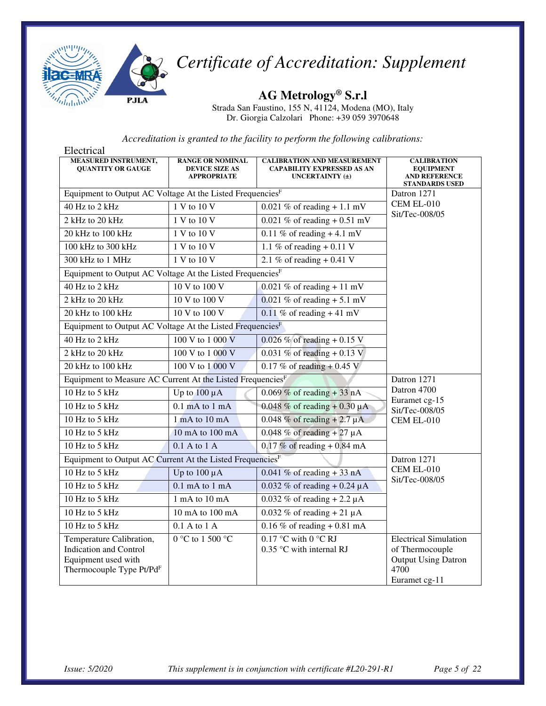

**AG Metrology® S.r.l** 

Strada San Faustino, 155 N, 41124, Modena (MO), Italy Dr. Giorgia Calzolari Phone: +39 059 3970648

| Electrical                                                                                                               |                                                                        |                                                                                                |                                                                                                        |
|--------------------------------------------------------------------------------------------------------------------------|------------------------------------------------------------------------|------------------------------------------------------------------------------------------------|--------------------------------------------------------------------------------------------------------|
| MEASURED INSTRUMENT,<br><b>QUANTITY OR GAUGE</b>                                                                         | <b>RANGE OR NOMINAL</b><br><b>DEVICE SIZE AS</b><br><b>APPROPRIATE</b> | <b>CALIBRATION AND MEASUREMENT</b><br><b>CAPABILITY EXPRESSED AS AN</b><br>UNCERTAINTY $(\pm)$ | <b>CALIBRATION</b><br><b>EQUIPMENT</b><br><b>AND REFERENCE</b><br><b>STANDARDS USED</b>                |
| Equipment to Output AC Voltage At the Listed FrequenciesF                                                                |                                                                        |                                                                                                | Datron 1271                                                                                            |
| 40 Hz to 2 kHz                                                                                                           | 1 V to 10 V                                                            | 0.021 % of reading $+1.1$ mV                                                                   | <b>CEM EL-010</b>                                                                                      |
| 2 kHz to 20 kHz                                                                                                          | 1 V to 10 V                                                            | 0.021 % of reading $+ 0.51$ mV                                                                 | Sit/Tec-008/05                                                                                         |
| 20 kHz to 100 kHz                                                                                                        | 1 V to 10 V                                                            | 0.11 % of reading $+4.1$ mV                                                                    |                                                                                                        |
| 100 kHz to 300 kHz                                                                                                       | 1 V to 10 V                                                            | 1.1 % of reading $\overline{+$ 0.11 V                                                          |                                                                                                        |
| 300 kHz to 1 MHz                                                                                                         | 1 V to 10 V                                                            | 2.1 % of reading $+ 0.41$ V                                                                    |                                                                                                        |
| Equipment to Output AC Voltage At the Listed Frequencies <sup>F</sup>                                                    |                                                                        |                                                                                                |                                                                                                        |
| 40 Hz to 2 kHz                                                                                                           | 10 V to 100 V                                                          | $0.021\%$ of reading + 11 mV                                                                   |                                                                                                        |
| 2 kHz to 20 kHz                                                                                                          | 10 V to 100 V                                                          | 0.021 % of reading $+ 5.1$ mV                                                                  |                                                                                                        |
| 20 kHz to 100 kHz                                                                                                        | 10 V to 100 V                                                          | 0.11 % of reading $+41$ mV                                                                     |                                                                                                        |
| Equipment to Output AC Voltage At the Listed Frequencies <sup>F</sup>                                                    |                                                                        |                                                                                                |                                                                                                        |
| 40 Hz to 2 kHz                                                                                                           | 100 V to 1 000 V                                                       | 0.026 % of reading + 0.15 V                                                                    |                                                                                                        |
| 2 kHz to 20 kHz                                                                                                          | 100 V to 1 000 V                                                       | 0.031 % of reading $+$ 0.13 V                                                                  |                                                                                                        |
| 20 kHz to 100 kHz                                                                                                        | 100 V to 1 000 V                                                       | 0.17 % of reading $+$ 0.45 V                                                                   |                                                                                                        |
| Equipment to Measure AC Current At the Listed Frequencies <sup>F</sup>                                                   |                                                                        |                                                                                                | Datron 1271                                                                                            |
| 10 Hz to 5 kHz                                                                                                           | Up to $100 \mu A$                                                      | $0.069\%$ of reading + 33 nA                                                                   | Datron 4700                                                                                            |
| 10 Hz to 5 kHz                                                                                                           | $0.1$ mA to $1$ mA                                                     | 0.048 % of reading + 0.30 $\mu$ A                                                              | Euramet cg-15<br>Sit/Tec-008/05                                                                        |
| 10 Hz to 5 kHz                                                                                                           | 1 mA to 10 mA                                                          | $0.048\%$ of reading + 2.7 µA                                                                  | <b>CEM EL-010</b>                                                                                      |
| 10 Hz to 5 kHz                                                                                                           | 10 mA to 100 mA                                                        | $0.048\%$ of reading + 27 µA                                                                   |                                                                                                        |
| 10 Hz to 5 kHz                                                                                                           | $0.1$ A to $1$ A                                                       | $0.17\%$ of reading + 0.84 mA                                                                  |                                                                                                        |
| Equipment to Output AC Current At the Listed Frequencies <sup>F</sup>                                                    |                                                                        |                                                                                                | Datron 1271                                                                                            |
| 10 Hz to 5 kHz                                                                                                           | Up to $100 \mu A$                                                      | $0.041\%$ of reading + 33 nA                                                                   | <b>CEM EL-010</b><br>Sit/Tec-008/05                                                                    |
| 10 Hz to 5 kHz                                                                                                           | $0.1$ mA to $1$ mA                                                     | 0.032 % of reading + 0.24 $\mu$ A                                                              |                                                                                                        |
| 10 Hz to 5 kHz                                                                                                           | 1 mA to 10 mA                                                          | 0.032 % of reading + 2.2 $\mu$ A                                                               |                                                                                                        |
| 10 Hz to 5 kHz                                                                                                           | 10 mA to 100 mA                                                        | $0.032\%$ of reading + 21 µA                                                                   |                                                                                                        |
| 10 Hz to 5 kHz                                                                                                           | 0.1 A to 1 A                                                           | $0.16\%$ of reading + 0.81 mA                                                                  |                                                                                                        |
| Temperature Calibration,<br><b>Indication and Control</b><br>Equipment used with<br>Thermocouple Type Pt/Pd <sup>F</sup> | 0 °C to 1 500 °C                                                       | 0.17 °C with $0$ °C RJ<br>0.35 °C with internal RJ                                             | <b>Electrical Simulation</b><br>of Thermocouple<br><b>Output Using Datron</b><br>4700<br>Euramet cg-11 |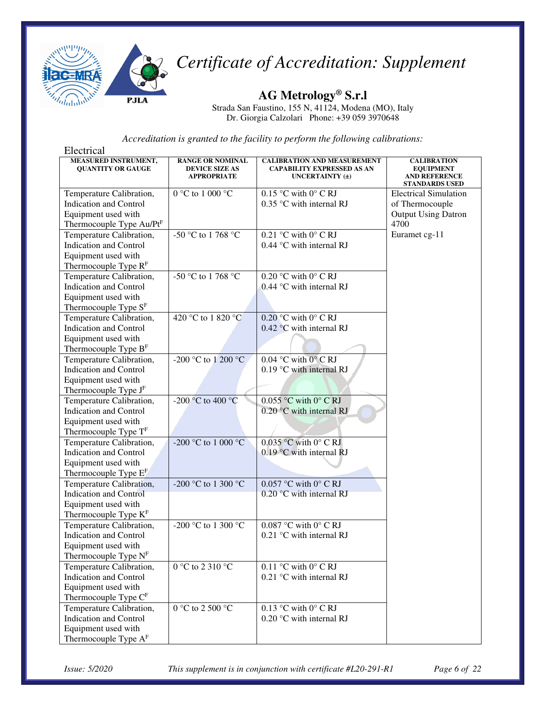

**AG Metrology® S.r.l** 

Strada San Faustino, 155 N, 41124, Modena (MO), Italy Dr. Giorgia Calzolari Phone: +39 059 3970648

| Electrical                                              |                                                                        |                                                                                                |                                                                                         |
|---------------------------------------------------------|------------------------------------------------------------------------|------------------------------------------------------------------------------------------------|-----------------------------------------------------------------------------------------|
| <b>MEASURED INSTRUMENT,</b><br><b>QUANTITY OR GAUGE</b> | <b>RANGE OR NOMINAL</b><br><b>DEVICE SIZE AS</b><br><b>APPROPRIATE</b> | <b>CALIBRATION AND MEASUREMENT</b><br><b>CAPABILITY EXPRESSED AS AN</b><br>UNCERTAINTY $(\pm)$ | <b>CALIBRATION</b><br><b>EQUIPMENT</b><br><b>AND REFERENCE</b><br><b>STANDARDS USED</b> |
| Temperature Calibration,                                | $0 °C$ to $1 000 °C$                                                   | $0.15$ °C with 0° C RJ                                                                         | <b>Electrical Simulation</b>                                                            |
| <b>Indication and Control</b>                           |                                                                        | 0.35 °C with internal RJ                                                                       | of Thermocouple                                                                         |
| Equipment used with                                     |                                                                        |                                                                                                | <b>Output Using Datron</b>                                                              |
| Thermocouple Type Au/PtF                                |                                                                        |                                                                                                | 4700                                                                                    |
| Temperature Calibration,                                | -50 °C to 1 768 °C                                                     | $0.21$ °C with 0° C RJ                                                                         | Euramet cg-11                                                                           |
| Indication and Control                                  |                                                                        | 0.44 °C with internal RJ                                                                       |                                                                                         |
| Equipment used with                                     |                                                                        |                                                                                                |                                                                                         |
| Thermocouple Type R <sup>F</sup>                        |                                                                        |                                                                                                |                                                                                         |
| Temperature Calibration,                                | -50 °C to 1 768 °C                                                     | $0.20$ °C with $0$ °C RJ                                                                       |                                                                                         |
| <b>Indication and Control</b>                           |                                                                        | $0.44$ °C with internal RJ                                                                     |                                                                                         |
| Equipment used with                                     |                                                                        |                                                                                                |                                                                                         |
| Thermocouple Type S <sup>F</sup>                        |                                                                        |                                                                                                |                                                                                         |
| Temperature Calibration,                                | 420 °C to 1 820 °C                                                     | 0.20 °C with $0^{\circ}$ C RJ                                                                  |                                                                                         |
| <b>Indication and Control</b>                           |                                                                        | $0.42$ °C with internal RJ                                                                     |                                                                                         |
| Equipment used with                                     |                                                                        |                                                                                                |                                                                                         |
| Thermocouple Type B <sup>F</sup>                        |                                                                        |                                                                                                |                                                                                         |
| Temperature Calibration,                                | -200 °C to 1 200 °C                                                    | $0.04$ °C with 0° C RJ                                                                         |                                                                                         |
| <b>Indication and Control</b>                           |                                                                        | 0.19 °C with internal RJ                                                                       |                                                                                         |
| Equipment used with                                     |                                                                        |                                                                                                |                                                                                         |
| Thermocouple Type J <sup>F</sup>                        |                                                                        |                                                                                                |                                                                                         |
| Temperature Calibration,                                | -200 °C to 400 °C                                                      | $0.055$ °C with 0° C RJ                                                                        |                                                                                         |
| <b>Indication and Control</b>                           |                                                                        | $0.20$ °C with internal RJ                                                                     |                                                                                         |
| Equipment used with                                     |                                                                        |                                                                                                |                                                                                         |
| Thermocouple Type TF                                    |                                                                        |                                                                                                |                                                                                         |
| Temperature Calibration,                                | -200 °C to 1 000 °C                                                    | $0.035$ °C with $0^\circ$ C RJ                                                                 |                                                                                         |
| <b>Indication and Control</b>                           |                                                                        | 0.19 °C with internal RJ                                                                       |                                                                                         |
| Equipment used with                                     |                                                                        |                                                                                                |                                                                                         |
| Thermocouple Type E <sup>F</sup>                        |                                                                        |                                                                                                |                                                                                         |
| Temperature Calibration,                                | -200 °C to 1 300 °C                                                    | $0.057$ °C with 0° C RJ                                                                        |                                                                                         |
| <b>Indication and Control</b>                           |                                                                        | 0.20 °C with internal RJ                                                                       |                                                                                         |
| Equipment used with                                     |                                                                        |                                                                                                |                                                                                         |
| Thermocouple Type K <sup>F</sup>                        |                                                                        |                                                                                                |                                                                                         |
| Temperature Calibration,                                | -200 °C to 1 300 °C                                                    | $0.087$ °C with 0° C RJ                                                                        |                                                                                         |
| <b>Indication and Control</b>                           |                                                                        | 0.21 °C with internal RJ                                                                       |                                                                                         |
| Equipment used with                                     |                                                                        |                                                                                                |                                                                                         |
| Thermocouple Type N <sup>F</sup>                        |                                                                        |                                                                                                |                                                                                         |
| Temperature Calibration,                                | 0 °C to 2 310 °C                                                       | $0.11$ °C with 0° C RJ                                                                         |                                                                                         |
| <b>Indication and Control</b>                           |                                                                        | 0.21 °C with internal RJ                                                                       |                                                                                         |
| Equipment used with                                     |                                                                        |                                                                                                |                                                                                         |
| Thermocouple Type CF                                    |                                                                        |                                                                                                |                                                                                         |
| Temperature Calibration,                                | 0 °C to 2 500 °C                                                       | 0.13 °C with $0^{\circ}$ C RJ                                                                  |                                                                                         |
| <b>Indication and Control</b>                           |                                                                        | 0.20 °C with internal RJ                                                                       |                                                                                         |
| Equipment used with                                     |                                                                        |                                                                                                |                                                                                         |
| Thermocouple Type $AF$                                  |                                                                        |                                                                                                |                                                                                         |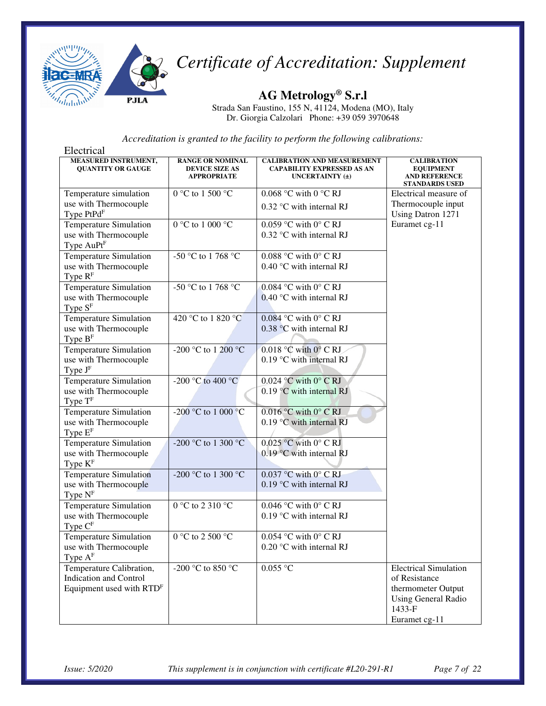

**AG Metrology® S.r.l** 

Strada San Faustino, 155 N, 41124, Modena (MO), Italy Dr. Giorgia Calzolari Phone: +39 059 3970648

| Electrical                                                                                        |                                                                        |                                                                                            |                                                                                                                              |
|---------------------------------------------------------------------------------------------------|------------------------------------------------------------------------|--------------------------------------------------------------------------------------------|------------------------------------------------------------------------------------------------------------------------------|
| <b>MEASURED INSTRUMENT,</b><br><b>QUANTITY OR GAUGE</b>                                           | <b>RANGE OR NOMINAL</b><br><b>DEVICE SIZE AS</b><br><b>APPROPRIATE</b> | <b>CALIBRATION AND MEASUREMENT</b><br><b>CAPABILITY EXPRESSED AS AN</b><br>UNCERTAINTY (±) | <b>CALIBRATION</b><br><b>EQUIPMENT</b><br><b>AND REFERENCE</b><br><b>STANDARDS USED</b>                                      |
| Temperature simulation                                                                            | 0 °C to 1 500 °C                                                       | 0.068 °C with 0 °C RJ                                                                      | Electrical measure of                                                                                                        |
| use with Thermocouple<br>Type PtPdF                                                               |                                                                        | 0.32 °C with internal RJ                                                                   | Thermocouple input<br>Using Datron 1271                                                                                      |
| <b>Temperature Simulation</b><br>use with Thermocouple<br>Type AuPt <sup>F</sup>                  | $0 °C$ to $1 000 °C$                                                   | $0.059$ °C with 0° C RJ<br>0.32 °C with internal RJ                                        | Euramet cg-11                                                                                                                |
| <b>Temperature Simulation</b><br>use with Thermocouple<br>Type $RF$                               | -50 °C to 1 768 °C                                                     | 0.088 °C with $0^{\circ}$ C RJ<br>0.40 °C with internal RJ                                 |                                                                                                                              |
| Temperature Simulation<br>use with Thermocouple<br>Type $SF$                                      | -50 °C to 1 768 °C                                                     | 0.084 °C with $0^{\circ}$ C RJ<br>$0.40$ °C with internal RJ                               |                                                                                                                              |
| <b>Temperature Simulation</b><br>use with Thermocouple<br>Type $BF$                               | 420 °C to 1 820 °C                                                     | $0.084$ °C with $0^{\circ}$ C RJ<br>0.38 °C with internal RJ                               |                                                                                                                              |
| <b>Temperature Simulation</b><br>use with Thermocouple<br>Type JF                                 | -200 °C to 1 200 °C                                                    | $0.018$ °C with $0^\circ$ C RJ<br>0.19 °C with internal RJ                                 |                                                                                                                              |
| <b>Temperature Simulation</b><br>use with Thermocouple<br>Type $TF$                               | -200 °C to 400 °C                                                      | $0.024$ °C with 0° C RJ<br>$0.19$ °C with internal RJ                                      |                                                                                                                              |
| Temperature Simulation<br>use with Thermocouple<br>Type $EF$                                      | -200 °C to 1 000 °C                                                    | $0.016$ °C with $0$ °C RJ<br>$0.19$ °C with internal RJ                                    |                                                                                                                              |
| <b>Temperature Simulation</b><br>use with Thermocouple<br>Type $K^F$                              | -200 °C to 1 300 °C                                                    | $0.025$ °C with 0° C RJ<br>$0.19$ °C with internal RJ                                      |                                                                                                                              |
| Temperature Simulation<br>use with Thermocouple<br>Type $NF$                                      | -200 °C to 1 300 °C                                                    | $0.037$ °C with $0^\circ$ C RJ<br>$0.19$ °C with internal RJ                               |                                                                                                                              |
| Temperature Simulation<br>use with Thermocouple<br>Type $CF$                                      | $0^{\circ}$ C to 2 310 $^{\circ}$ C                                    | 0.046 °C with $0^{\circ}$ C RJ<br>$0.19$ °C with internal RJ                               |                                                                                                                              |
| <b>Temperature Simulation</b><br>use with Thermocouple<br>Type $A^F$                              | 0 °C to 2 500 °C                                                       | $0.054$ °C with 0° C RJ<br>0.20 °C with internal RJ                                        |                                                                                                                              |
| Temperature Calibration,<br><b>Indication and Control</b><br>Equipment used with RTD <sup>F</sup> | -200 °C to 850 °C                                                      | $0.055$ °C                                                                                 | <b>Electrical Simulation</b><br>of Resistance<br>thermometer Output<br><b>Using General Radio</b><br>1433-F<br>Euramet cg-11 |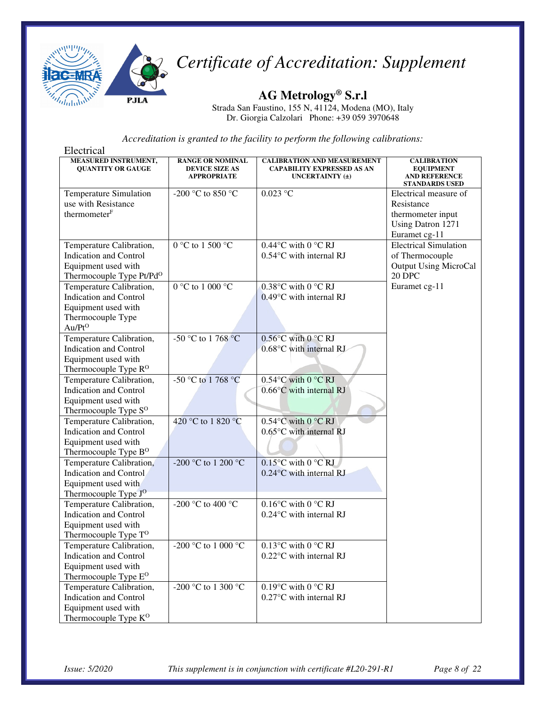

**AG Metrology® S.r.l** 

Strada San Faustino, 155 N, 41124, Modena (MO), Italy Dr. Giorgia Calzolari Phone: +39 059 3970648

| Electrical                                       |                                                                        |                                                                                                |                                                                                         |
|--------------------------------------------------|------------------------------------------------------------------------|------------------------------------------------------------------------------------------------|-----------------------------------------------------------------------------------------|
| MEASURED INSTRUMENT,<br><b>QUANTITY OR GAUGE</b> | <b>RANGE OR NOMINAL</b><br><b>DEVICE SIZE AS</b><br><b>APPROPRIATE</b> | <b>CALIBRATION AND MEASUREMENT</b><br><b>CAPABILITY EXPRESSED AS AN</b><br>UNCERTAINTY $(\pm)$ | <b>CALIBRATION</b><br><b>EQUIPMENT</b><br><b>AND REFERENCE</b><br><b>STANDARDS USED</b> |
| Temperature Simulation                           | -200 °C to 850 °C                                                      | $0.023$ °C                                                                                     | Electrical measure of                                                                   |
| use with Resistance                              |                                                                        |                                                                                                | Resistance                                                                              |
| thermometer <sup>F</sup>                         |                                                                        |                                                                                                | thermometer input                                                                       |
|                                                  |                                                                        |                                                                                                | Using Datron 1271                                                                       |
|                                                  |                                                                        |                                                                                                | Euramet cg-11                                                                           |
| Temperature Calibration,                         | 0 °C to 1 500 °C                                                       | $0.44$ °C with 0 °C RJ                                                                         | <b>Electrical Simulation</b>                                                            |
| <b>Indication and Control</b>                    |                                                                        | 0.54°C with internal RJ                                                                        | of Thermocouple                                                                         |
| Equipment used with                              |                                                                        |                                                                                                | <b>Output Using MicroCal</b>                                                            |
| Thermocouple Type Pt/Pd <sup>O</sup>             |                                                                        |                                                                                                | 20 DPC                                                                                  |
| Temperature Calibration,                         | 0 °C to 1 000 °C                                                       | $0.38$ °C with 0 °C RJ                                                                         | Euramet cg-11                                                                           |
| <b>Indication and Control</b>                    |                                                                        | $0.49^{\circ}$ C with internal RJ                                                              |                                                                                         |
| Equipment used with                              |                                                                        |                                                                                                |                                                                                         |
| Thermocouple Type                                |                                                                        |                                                                                                |                                                                                         |
| $Au/Pt^{O}$                                      |                                                                        |                                                                                                |                                                                                         |
| Temperature Calibration,                         | -50 °C to 1 768 °C                                                     | $0.56^{\circ}$ C with $0^{\circ}$ C RJ                                                         |                                                                                         |
| <b>Indication and Control</b>                    |                                                                        | 0.68°C with internal RJ                                                                        |                                                                                         |
| Equipment used with                              |                                                                        |                                                                                                |                                                                                         |
| Thermocouple Type R <sup>O</sup>                 |                                                                        |                                                                                                |                                                                                         |
| Temperature Calibration,                         | -50 °C to 1 768 °C                                                     | $0.54$ °C with 0 °C RJ                                                                         |                                                                                         |
| <b>Indication and Control</b>                    |                                                                        | $0.66^{\circ}$ C with internal RJ                                                              |                                                                                         |
| Equipment used with                              |                                                                        |                                                                                                |                                                                                         |
| Thermocouple Type S <sup>O</sup>                 |                                                                        |                                                                                                |                                                                                         |
| Temperature Calibration,                         | 420 °C to 1 820 °C                                                     | $0.54$ °C with $0$ °C RJ                                                                       |                                                                                         |
| <b>Indication and Control</b>                    |                                                                        | $0.65^{\circ}$ C with internal RJ                                                              |                                                                                         |
| Equipment used with                              |                                                                        |                                                                                                |                                                                                         |
| Thermocouple Type B <sup>O</sup>                 |                                                                        |                                                                                                |                                                                                         |
| Temperature Calibration,                         | -200 °C to 1 200 °C                                                    | $0.15^{\circ}$ C with $0^{\circ}$ C RJ                                                         |                                                                                         |
| Indication and Control                           |                                                                        | 0.24°C with internal RJ                                                                        |                                                                                         |
| Equipment used with                              |                                                                        |                                                                                                |                                                                                         |
| Thermocouple Type J <sup>O</sup>                 |                                                                        |                                                                                                |                                                                                         |
| Temperature Calibration,                         | -200 °C to 400 °C                                                      | $0.16^{\circ}$ C with $0^{\circ}$ C RJ                                                         |                                                                                         |
| Indication and Control                           |                                                                        | 0.24°C with internal RJ                                                                        |                                                                                         |
| Equipment used with                              |                                                                        |                                                                                                |                                                                                         |
| Thermocouple Type T <sup>O</sup>                 |                                                                        |                                                                                                |                                                                                         |
| Temperature Calibration,                         | -200 °C to 1 000 °C                                                    | $0.13^{\circ}$ C with $0^{\circ}$ C RJ                                                         |                                                                                         |
| Indication and Control                           |                                                                        | 0.22°C with internal RJ                                                                        |                                                                                         |
| Equipment used with                              |                                                                        |                                                                                                |                                                                                         |
| Thermocouple Type E <sup>O</sup>                 |                                                                        |                                                                                                |                                                                                         |
| Temperature Calibration,                         | -200 °C to 1 $\overline{300 \text{ }^{\circ}C}$                        | $\overline{0.19}$ °C with 0 °C RJ                                                              |                                                                                         |
| <b>Indication and Control</b>                    |                                                                        | 0.27°C with internal RJ                                                                        |                                                                                         |
| Equipment used with                              |                                                                        |                                                                                                |                                                                                         |
| Thermocouple Type K <sup>O</sup>                 |                                                                        |                                                                                                |                                                                                         |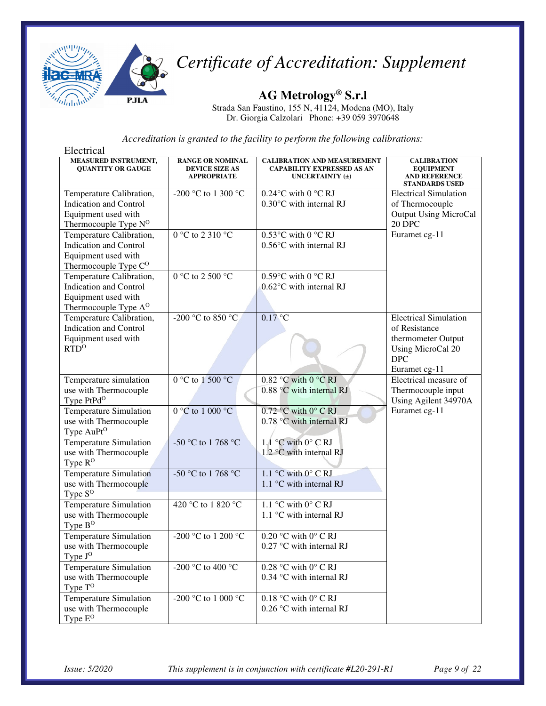

**AG Metrology® S.r.l** 

Strada San Faustino, 155 N, 41124, Modena (MO), Italy Dr. Giorgia Calzolari Phone: +39 059 3970648

| Electrical                                              |                                                                        |                                                                                                |                                                                                         |
|---------------------------------------------------------|------------------------------------------------------------------------|------------------------------------------------------------------------------------------------|-----------------------------------------------------------------------------------------|
| <b>MEASURED INSTRUMENT,</b><br><b>QUANTITY OR GAUGE</b> | <b>RANGE OR NOMINAL</b><br><b>DEVICE SIZE AS</b><br><b>APPROPRIATE</b> | <b>CALIBRATION AND MEASUREMENT</b><br><b>CAPABILITY EXPRESSED AS AN</b><br>UNCERTAINTY $(\pm)$ | <b>CALIBRATION</b><br><b>EQUIPMENT</b><br><b>AND REFERENCE</b><br><b>STANDARDS USED</b> |
| Temperature Calibration,                                | -200 °C to 1 300 °C                                                    | $0.24$ °C with 0 °C RJ                                                                         | <b>Electrical Simulation</b>                                                            |
| <b>Indication and Control</b>                           |                                                                        | 0.30°C with internal RJ                                                                        | of Thermocouple                                                                         |
| Equipment used with                                     |                                                                        |                                                                                                | <b>Output Using MicroCal</b>                                                            |
| Thermocouple Type N <sup>O</sup>                        |                                                                        |                                                                                                | 20 DPC                                                                                  |
| Temperature Calibration,                                | 0 °C to 2 310 °C                                                       | $0.53$ °C with 0 °C RJ                                                                         | Euramet cg-11                                                                           |
| <b>Indication and Control</b>                           |                                                                        | 0.56°C with internal RJ                                                                        |                                                                                         |
| Equipment used with                                     |                                                                        |                                                                                                |                                                                                         |
| Thermocouple Type C <sup>O</sup>                        |                                                                        |                                                                                                |                                                                                         |
| Temperature Calibration,                                | $0^{\circ}$ C to 2 500 $^{\circ}$ C                                    | $0.59^{\circ}$ C with $0^{\circ}$ C RJ                                                         |                                                                                         |
| <b>Indication and Control</b>                           |                                                                        | $0.62$ °C with internal RJ                                                                     |                                                                                         |
| Equipment used with                                     |                                                                        |                                                                                                |                                                                                         |
| Thermocouple Type A <sup>O</sup>                        |                                                                        |                                                                                                |                                                                                         |
| Temperature Calibration,                                | -200 °C to 850 °C                                                      | 0.17 °C                                                                                        | <b>Electrical Simulation</b>                                                            |
| <b>Indication and Control</b>                           |                                                                        |                                                                                                | of Resistance                                                                           |
| Equipment used with                                     |                                                                        |                                                                                                | thermometer Output                                                                      |
| RTD <sup>0</sup>                                        |                                                                        |                                                                                                | Using MicroCal 20                                                                       |
|                                                         |                                                                        |                                                                                                | <b>DPC</b>                                                                              |
|                                                         |                                                                        |                                                                                                | Euramet cg-11                                                                           |
| Temperature simulation                                  | $0 °C$ to $1 500 °C$                                                   | $0.82$ °C with $0$ °C RJ                                                                       | Electrical measure of                                                                   |
| use with Thermocouple                                   |                                                                        | 0.88 °C with internal RJ                                                                       | Thermocouple input                                                                      |
| Type PtPd <sup>O</sup>                                  |                                                                        |                                                                                                | Using Agilent 34970A                                                                    |
| Temperature Simulation                                  | 0 °C to 1 000 °C                                                       | $0.72$ °C with 0° C RJ                                                                         | Euramet cg-11                                                                           |
| use with Thermocouple                                   |                                                                        | 0.78 °C with internal RJ                                                                       |                                                                                         |
| Type AuPt <sup>O</sup>                                  |                                                                        |                                                                                                |                                                                                         |
| <b>Temperature Simulation</b>                           | -50 °C to 1 768 °C                                                     | 1.1 °C with $0^{\circ}$ C RJ                                                                   |                                                                                         |
| use with Thermocouple                                   |                                                                        | 1.2 °C with internal RJ                                                                        |                                                                                         |
| Type $R^O$                                              |                                                                        |                                                                                                |                                                                                         |
| <b>Temperature Simulation</b>                           | -50 °C to 1 768 °C                                                     | 1.1 °C with $0^{\circ}$ C RJ                                                                   |                                                                                         |
| use with Thermocouple                                   |                                                                        | 1.1 $\degree$ C with internal RJ                                                               |                                                                                         |
| Type $S^O$                                              |                                                                        |                                                                                                |                                                                                         |
| <b>Temperature Simulation</b>                           | 420 °C to 1 820 °C                                                     | $\overline{1.1}$ °C with 0° C RJ                                                               |                                                                                         |
| use with Thermocouple                                   |                                                                        | 1.1 °C with internal RJ                                                                        |                                                                                         |
| Type $B^O$                                              |                                                                        |                                                                                                |                                                                                         |
| Temperature Simulation                                  | -200 °C to 1 200 °C                                                    | 0.20 °C with $0^{\circ}$ C RJ                                                                  |                                                                                         |
| use with Thermocouple                                   |                                                                        | $0.27$ °C with internal RJ                                                                     |                                                                                         |
| Type J <sup>O</sup>                                     |                                                                        |                                                                                                |                                                                                         |
| <b>Temperature Simulation</b>                           | -200 °C to 400 °C                                                      | $0.28$ °C with $0^{\circ}$ C RJ                                                                |                                                                                         |
| use with Thermocouple                                   |                                                                        | 0.34 °C with internal RJ                                                                       |                                                                                         |
| Type $T^O$                                              |                                                                        |                                                                                                |                                                                                         |
| Temperature Simulation                                  | -200 °C to 1 000 °C                                                    | 0.18 °C with $0^{\circ}$ C RJ                                                                  |                                                                                         |
| use with Thermocouple                                   |                                                                        | 0.26 °C with internal RJ                                                                       |                                                                                         |
| Type E <sup>O</sup>                                     |                                                                        |                                                                                                |                                                                                         |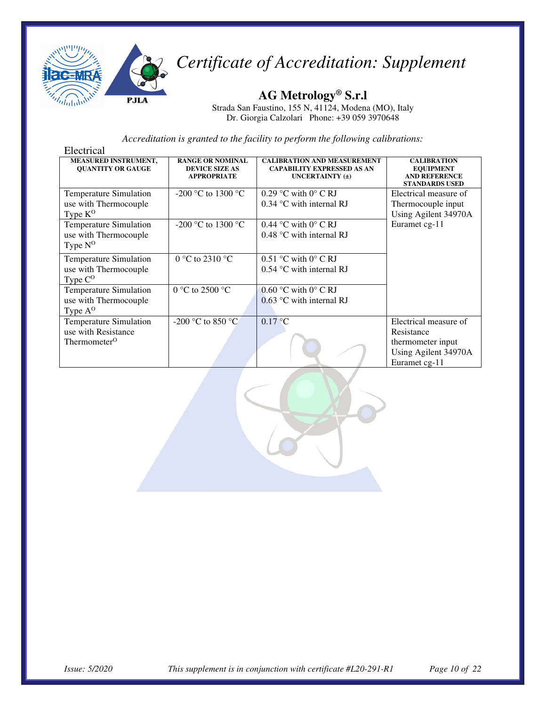

**AG Metrology® S.r.l** 

Strada San Faustino, 155 N, 41124, Modena (MO), Italy Dr. Giorgia Calzolari Phone: +39 059 3970648

| Electrical                                                                    |                                                                        |                                                                                            |                                                                                                   |
|-------------------------------------------------------------------------------|------------------------------------------------------------------------|--------------------------------------------------------------------------------------------|---------------------------------------------------------------------------------------------------|
| <b>MEASURED INSTRUMENT,</b><br><b>OUANTITY OR GAUGE</b>                       | <b>RANGE OR NOMINAL</b><br><b>DEVICE SIZE AS</b><br><b>APPROPRIATE</b> | <b>CALIBRATION AND MEASUREMENT</b><br><b>CAPABILITY EXPRESSED AS AN</b><br>UNCERTAINTY (±) | <b>CALIBRATION</b><br><b>EQUIPMENT</b><br><b>AND REFERENCE</b><br><b>STANDARDS USED</b>           |
| <b>Temperature Simulation</b><br>use with Thermocouple<br>Type K <sup>O</sup> | -200 °C to 1300 °C                                                     | 0.29 °C with $0^{\circ}$ C RJ<br>$0.34$ °C with internal RJ                                | Electrical measure of<br>Thermocouple input<br>Using Agilent 34970A                               |
| <b>Temperature Simulation</b><br>use with Thermocouple<br>Type $N^O$          | $-200$ °C to 1300 °C                                                   | $0.44$ °C with $0^\circ$ C RJ<br>$0.48$ °C with internal RJ                                | Euramet cg-11                                                                                     |
| Temperature Simulation<br>use with Thermocouple<br>Type $C^O$                 | 0 °C to 2310 °C                                                        | $0.51$ °C with $0^\circ$ C RJ<br>$0.54$ °C with internal RJ                                |                                                                                                   |
| Temperature Simulation<br>use with Thermocouple<br>Type $A^O$                 | $0^{\circ}$ C to 2500 $^{\circ}$ C                                     | $0.60$ °C with $0^\circ$ C RJ<br>$0.63$ °C with internal RJ                                |                                                                                                   |
| Temperature Simulation<br>use with Resistance<br>Thermometer <sup>O</sup>     | -200 $^{\circ}$ C to 850 $^{\circ}$ C                                  | $0.17$ °C                                                                                  | Electrical measure of<br>Resistance<br>thermometer input<br>Using Agilent 34970A<br>Euramet cg-11 |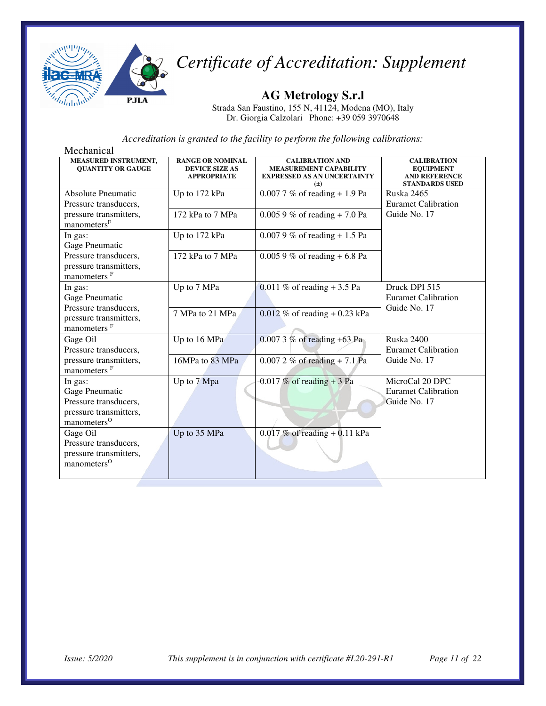

**AG Metrology S.r.l** 

Strada San Faustino, 155 N, 41124, Modena (MO), Italy Dr. Giorgia Calzolari Phone: +39 059 3970648

| Mechanical                                                                                              |                                                                        |                                                                                                          |                                                                                         |
|---------------------------------------------------------------------------------------------------------|------------------------------------------------------------------------|----------------------------------------------------------------------------------------------------------|-----------------------------------------------------------------------------------------|
| MEASURED INSTRUMENT,<br><b>QUANTITY OR GAUGE</b>                                                        | <b>RANGE OR NOMINAL</b><br><b>DEVICE SIZE AS</b><br><b>APPROPRIATE</b> | <b>CALIBRATION AND</b><br><b>MEASUREMENT CAPABILITY</b><br><b>EXPRESSED AS AN UNCERTAINTY</b><br>$(\pm)$ | <b>CALIBRATION</b><br><b>EQUIPMENT</b><br><b>AND REFERENCE</b><br><b>STANDARDS USED</b> |
| <b>Absolute Pneumatic</b><br>Pressure transducers,                                                      | Up to 172 kPa                                                          | $0.0077 \%$ of reading + 1.9 Pa                                                                          | Ruska 2465<br><b>Euramet Calibration</b>                                                |
| pressure transmitters,<br>manometers <sup>F</sup>                                                       | 172 kPa to 7 MPa                                                       | $0.0059\%$ of reading + 7.0 Pa                                                                           | Guide No. 17                                                                            |
| In gas:<br>Gage Pneumatic                                                                               | Up to 172 kPa                                                          | $0.0079\%$ of reading + 1.5 Pa                                                                           |                                                                                         |
| Pressure transducers,<br>pressure transmitters,<br>manometers <sup>F</sup>                              | 172 kPa to 7 MPa                                                       | $0.0059\%$ of reading + 6.8 Pa                                                                           |                                                                                         |
| In gas:<br>Gage Pneumatic                                                                               | Up to 7 MPa                                                            | 0.011 % of reading $+3.5$ Pa                                                                             | Druck DPI 515<br><b>Euramet Calibration</b>                                             |
| Pressure transducers,<br>pressure transmitters,<br>manometers <sup>F</sup>                              | 7 MPa to 21 MPa                                                        | $0.012\%$ of reading + 0.23 kPa                                                                          | Guide No. 17                                                                            |
| Gage Oil<br>Pressure transducers,                                                                       | Up to 16 MPa                                                           | 0.007 3 % of reading +63 Pa                                                                              | Ruska 2400<br><b>Euramet Calibration</b>                                                |
| pressure transmitters,<br>manometers <sup>F</sup>                                                       | 16MPa to 83 MPa                                                        | $0.0072 \%$ of reading + 7.1 Pa                                                                          | Guide No. 17                                                                            |
| In gas:<br>Gage Pneumatic<br>Pressure transducers,<br>pressure transmitters,<br>manometers <sup>O</sup> | Up to 7 Mpa                                                            | $0.017\%$ of reading + 3 Pa                                                                              | MicroCal 20 DPC<br><b>Euramet Calibration</b><br>Guide No. 17                           |
| Gage Oil<br>Pressure transducers,<br>pressure transmitters,<br>manometers <sup>O</sup>                  | Up to 35 MPa                                                           | $0.017$ % of reading + 0.11 kPa                                                                          |                                                                                         |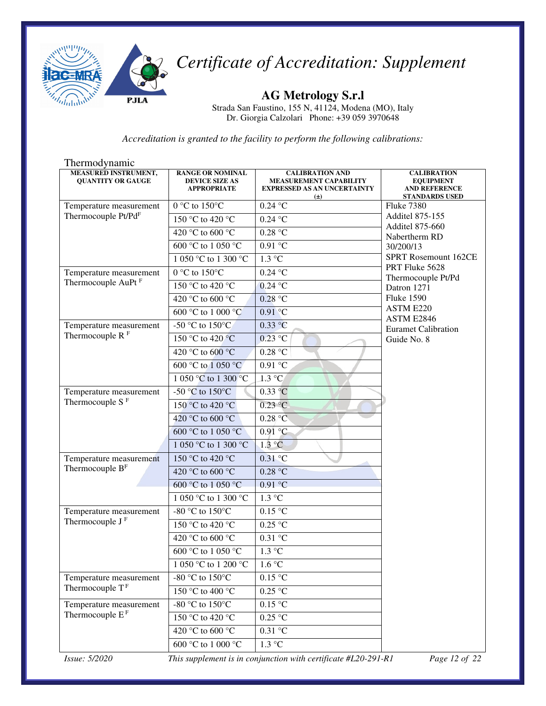

**AG Metrology S.r.l**  Strada San Faustino, 155 N, 41124, Modena (MO), Italy Dr. Giorgia Calzolari Phone: +39 059 3970648

*Accreditation is granted to the facility to perform the following calibrations:*

| Thermodynamic                                           |                                                                        |                                                                                                          |                                                                                         |
|---------------------------------------------------------|------------------------------------------------------------------------|----------------------------------------------------------------------------------------------------------|-----------------------------------------------------------------------------------------|
| <b>MEASURED INSTRUMENT,</b><br><b>QUANTITY OR GAUGE</b> | <b>RANGE OR NOMINAL</b><br><b>DEVICE SIZE AS</b><br><b>APPROPRIATE</b> | <b>CALIBRATION AND</b><br><b>MEASUREMENT CAPABILITY</b><br><b>EXPRESSED AS AN UNCERTAINTY</b><br>$(\pm)$ | <b>CALIBRATION</b><br><b>EQUIPMENT</b><br><b>AND REFERENCE</b><br><b>STANDARDS USED</b> |
| Temperature measurement                                 | 0 °C to $150$ °C                                                       | $0.24$ °C                                                                                                | <b>Fluke 7380</b>                                                                       |
| Thermocouple Pt/PdF                                     | 150 °C to 420 °C                                                       | $0.24$ °C                                                                                                | <b>Additel 875-155</b><br><b>Additel 875-660</b>                                        |
|                                                         | 420 °C to 600 °C                                                       | $0.28\ ^{\circ}\textrm{C}$                                                                               | Nabertherm RD                                                                           |
|                                                         | 600 °C to 1 050 °C                                                     | 0.91 °C                                                                                                  | 30/200/13                                                                               |
|                                                         | 1 050 °C to 1 300 °C                                                   | $1.3 \text{ °C}$                                                                                         | <b>SPRT Rosemount 162CE</b>                                                             |
| Temperature measurement                                 | 0 °C to 150 °C                                                         | $0.24$ °C                                                                                                | PRT Fluke 5628<br>Thermocouple Pt/Pd                                                    |
| Thermocouple AuPt <sup>F</sup>                          | 150 °C to 420 °C                                                       | $0.24$ °C                                                                                                | Datron 1271                                                                             |
|                                                         | 420 °C to 600 °C                                                       | 0.28 °C                                                                                                  | <b>Fluke 1590</b>                                                                       |
|                                                         | 600 °C to 1 000 °C                                                     | $0.91$ °C                                                                                                | ASTM E220<br>ASTM E2846                                                                 |
| Temperature measurement                                 | -50 °C to $150^{\circ}$ C                                              | 0.33 °C                                                                                                  | <b>Euramet Calibration</b>                                                              |
| Thermocouple $R$ <sup>F</sup>                           | 150 °C to 420 °C                                                       | $0.23 \text{ °C}$                                                                                        | Guide No. 8                                                                             |
|                                                         | 420 °C to 600 °C                                                       | 0.28 °C                                                                                                  |                                                                                         |
|                                                         | 600 °C to 1 050 °C                                                     | $0.91 \overline{C}$                                                                                      |                                                                                         |
|                                                         | 1 050 °C to 1 300 °C                                                   | $1.3 \text{ °C}$                                                                                         |                                                                                         |
| Temperature measurement                                 | -50 $^{\circ}$ C to 150 $^{\circ}$ C                                   | 0.33 °C                                                                                                  |                                                                                         |
| Thermocouple S $^{\rm F}$                               | 150 °C to 420 °C                                                       | $0.23$ °C                                                                                                |                                                                                         |
|                                                         | 420 °C to 600 °C                                                       | $0.28\text{ °C}$                                                                                         |                                                                                         |
|                                                         | 600 °C to 1 050 °C                                                     | 0.91 °C                                                                                                  |                                                                                         |
|                                                         | 1 050 °C to 1 300 °C                                                   | 1.3 °C                                                                                                   |                                                                                         |
| Temperature measurement                                 | 150 °C to 420 °C                                                       | $0.31$ °C                                                                                                |                                                                                         |
| Thermocouple B <sup>F</sup>                             | 420 °C to 600 °C                                                       | 0.28 °C                                                                                                  |                                                                                         |
|                                                         | 600 °C to 1 050 °C                                                     | 0.91 °C                                                                                                  |                                                                                         |
|                                                         | 1 050 °C to 1 300 °C                                                   | $1.3 \text{ °C}$                                                                                         |                                                                                         |
| Temperature measurement                                 | -80 °C to 150°C                                                        | 0.15 °C                                                                                                  |                                                                                         |
| Thermocouple $JF$                                       | 150 °C to 420 °C                                                       | 0.25 °C                                                                                                  |                                                                                         |
|                                                         | 420 °C to 600 °C                                                       | $0.31\ ^{\circ}\textrm{C}$                                                                               |                                                                                         |
|                                                         | $\overline{600}$ °C to 1 050 °C                                        | $1.3 \text{ °C}$                                                                                         |                                                                                         |
|                                                         | $1$ 050 $^{\circ}\textrm{C}$ to 1 200 $^{\circ}\textrm{C}$             | $1.6\,^{\circ}\mathrm{C}$                                                                                |                                                                                         |
| Temperature measurement                                 | -80 $\degree$ C to 150 $\degree$ C                                     | $0.15\ ^{\circ}\textrm{C}$                                                                               |                                                                                         |
| Thermocouple $TF$                                       | 150 °C to 400 °C                                                       | 0.25 °C                                                                                                  |                                                                                         |
| Temperature measurement                                 | -80 °C to 150 °C                                                       | $0.15~^\circ\mathrm{C}$                                                                                  |                                                                                         |
| Thermocouple $EF$                                       | 150 °C to 420 °C                                                       | $0.25~^\circ\mathrm{C}$                                                                                  |                                                                                         |
|                                                         | 420 °C to 600 °C                                                       | 0.31 °C                                                                                                  |                                                                                         |
|                                                         | 600 °C to 1 000 °C                                                     | 1.3 °C                                                                                                   |                                                                                         |

*Issue: 5/2020 This supplement is in conjunction with certificate #L20-291-R1 Page 12 of 22*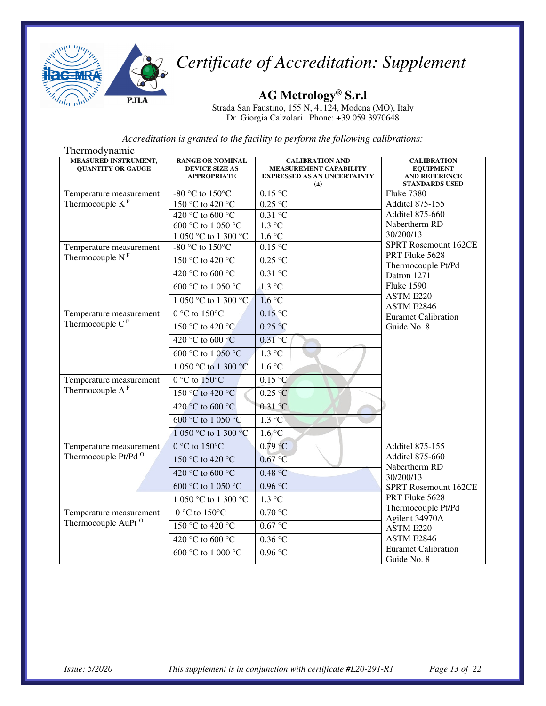

**AG Metrology® S.r.l** 

Strada San Faustino, 155 N, 41124, Modena (MO), Italy Dr. Giorgia Calzolari Phone: +39 059 3970648

| Thermodynamic                                             |                                                                        |                                                                                                          |                                                                                         |
|-----------------------------------------------------------|------------------------------------------------------------------------|----------------------------------------------------------------------------------------------------------|-----------------------------------------------------------------------------------------|
| <b>MEASURED INSTRUMENT,</b><br><b>QUANTITY OR GAUGE</b>   | <b>RANGE OR NOMINAL</b><br><b>DEVICE SIZE AS</b><br><b>APPROPRIATE</b> | <b>CALIBRATION AND</b><br><b>MEASUREMENT CAPABILITY</b><br><b>EXPRESSED AS AN UNCERTAINTY</b><br>$(\pm)$ | <b>CALIBRATION</b><br><b>EQUIPMENT</b><br><b>AND REFERENCE</b><br><b>STANDARDS USED</b> |
| Temperature measurement                                   | -80 °C to 150 °C                                                       | $0.15\text{ °C}$                                                                                         | <b>Fluke 7380</b>                                                                       |
| Thermocouple $\mathbf{K}^{\mathrm{F}}$                    | $150^{\circ}$ C to 420 °C                                              | $0.25$ °C                                                                                                | <b>Additel 875-155</b>                                                                  |
|                                                           | 420 °C to 600 °C                                                       | $0.31$ °C                                                                                                | <b>Additel 875-660</b>                                                                  |
|                                                           | 600 °C to 1 050 °C                                                     | $1.3 \text{ °C}$                                                                                         | Nabertherm RD                                                                           |
|                                                           | 1 050 °C to 1 300 °C                                                   | $1.6\text{ °C}$                                                                                          | 30/200/13<br><b>SPRT Rosemount 162CE</b>                                                |
| Temperature measurement                                   | $-80$ °C to $150$ °C                                                   | 0.15 °C                                                                                                  | PRT Fluke 5628                                                                          |
| Thermocouple $NF$                                         | 150 °C to 420 °C                                                       | $0.25 \text{ °C}$                                                                                        | Thermocouple Pt/Pd                                                                      |
|                                                           | 420 °C to 600 °C                                                       | $0.31$ °C                                                                                                | Datron 1271                                                                             |
|                                                           | 600 °C to 1 050 °C                                                     | $1.3 \text{ °C}$                                                                                         | <b>Fluke 1590</b>                                                                       |
|                                                           | 1 050 °C to 1 300 °C.                                                  | 1.6 °C                                                                                                   | ASTM E220<br>ASTM E2846                                                                 |
| Temperature measurement                                   | $0^{\circ}$ C to $150^{\circ}$ C                                       | 0.15 °C                                                                                                  | <b>Euramet Calibration</b>                                                              |
| Thermocouple $CF$                                         | 150 °C to 420 °C                                                       | 0.25 °C                                                                                                  | Guide No. 8                                                                             |
|                                                           | 420 °C to 600 °C                                                       | $0.31$ °C                                                                                                |                                                                                         |
|                                                           | 600 °C to 1 050 °C                                                     | $1.3 \text{ °C}$                                                                                         |                                                                                         |
|                                                           | 1 050 °C to 1 300 °C                                                   | 1.6 °C                                                                                                   |                                                                                         |
| Temperature measurement                                   | $0^{\circ}$ C to $150^{\circ}$ C                                       | 0.15 °C                                                                                                  |                                                                                         |
| Thermocouple $A^F$                                        | 150 °C to 420 °C                                                       | 0.25 °C                                                                                                  |                                                                                         |
|                                                           | 420 °C to 600 °C                                                       | $0.31$ °C                                                                                                |                                                                                         |
|                                                           | 600 °C to 1 050 °C                                                     | 1.3 °C                                                                                                   |                                                                                         |
|                                                           | 1 050 °C to 1 300 °C                                                   | $1.6^{\circ}$ C                                                                                          |                                                                                         |
| Temperature measurement                                   | $0^{\circ}$ C to 150°C                                                 | 0.79 °C                                                                                                  | <b>Additel 875-155</b>                                                                  |
| Thermocouple Pt/Pd <sup>O</sup>                           | 150 °C to 420 °C                                                       | 0.67 °C                                                                                                  | <b>Additel 875-660</b><br>Nabertherm RD                                                 |
|                                                           | 420 °C to 600 °C                                                       | 0.48 °C                                                                                                  | 30/200/13                                                                               |
|                                                           | 600 °C to 1 050 °C                                                     | 0.96 °C                                                                                                  | SPRT Rosemount 162CE                                                                    |
|                                                           | 1 050 °C to 1 300 °C                                                   | $1.3 \text{ °C}$                                                                                         | PRT Fluke 5628                                                                          |
| Temperature measurement<br>Thermocouple AuPt <sup>O</sup> | $0 °C$ to $150 °C$                                                     | 0.70 °C                                                                                                  | Thermocouple Pt/Pd<br>Agilent 34970A<br>ASTM E220                                       |
|                                                           | 150 °C to 420 °C                                                       | $0.67$ °C                                                                                                |                                                                                         |
|                                                           | 420 °C to 600 °C                                                       | 0.36 °C                                                                                                  | ASTM E2846                                                                              |
|                                                           | 600 °C to 1 000 °C                                                     | 0.96 °C                                                                                                  | <b>Euramet Calibration</b><br>Guide No. 8                                               |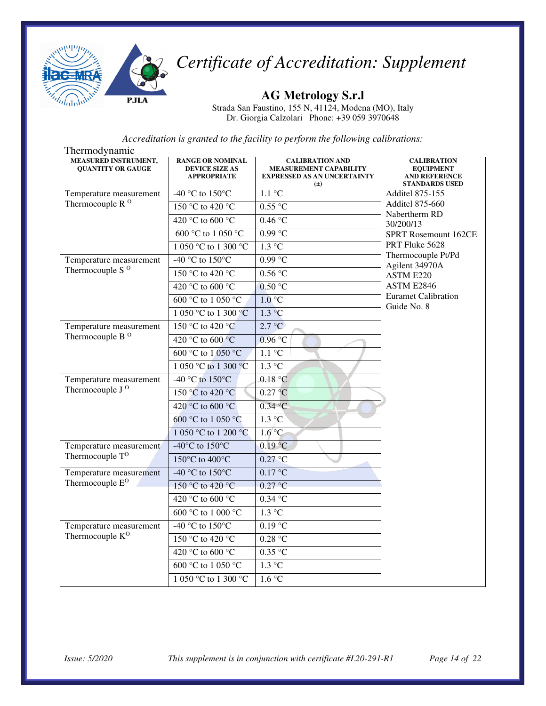

#### **AG Metrology S.r.l**

Strada San Faustino, 155 N, 41124, Modena (MO), Italy Dr. Giorgia Calzolari Phone: +39 059 3970648

| Thermodynamic                                           |                                                                        |                                                                                                          |                                                                                         |
|---------------------------------------------------------|------------------------------------------------------------------------|----------------------------------------------------------------------------------------------------------|-----------------------------------------------------------------------------------------|
| <b>MEASURED INSTRUMENT,</b><br><b>QUANTITY OR GAUGE</b> | <b>RANGE OR NOMINAL</b><br><b>DEVICE SIZE AS</b><br><b>APPROPRIATE</b> | <b>CALIBRATION AND</b><br><b>MEASUREMENT CAPABILITY</b><br><b>EXPRESSED AS AN UNCERTAINTY</b><br>$(\pm)$ | <b>CALIBRATION</b><br><b>EQUIPMENT</b><br><b>AND REFERENCE</b><br><b>STANDARDS USED</b> |
| Temperature measurement                                 | -40 °C to $150^{\circ}$ C                                              | $1.1 \text{ }^{\circ}C$                                                                                  | <b>Additel 875-155</b>                                                                  |
| Thermocouple R <sup>O</sup>                             | 150 °C to 420 °C                                                       | 0.55 °C                                                                                                  | <b>Additel 875-660</b><br>Nabertherm RD                                                 |
|                                                         | 420 °C to 600 °C                                                       | 0.46 °C                                                                                                  | 30/200/13                                                                               |
|                                                         | 600 °C to 1 050 °C                                                     | $0.99$ °C                                                                                                | <b>SPRT Rosemount 162CE</b>                                                             |
|                                                         | 1 050 °C to 1 300 °C                                                   | $1.3 \text{ °C}$                                                                                         | PRT Fluke 5628                                                                          |
| Temperature measurement                                 | -40 °C to $150^{\circ}$ C                                              | $0.99$ °C                                                                                                | Thermocouple Pt/Pd<br>Agilent 34970A                                                    |
| Thermocouple S <sup>O</sup>                             | 150 °C to 420 °C                                                       | 0.56 °C                                                                                                  | ASTM E220                                                                               |
|                                                         | 420 °C to 600 °C                                                       | 0.50 °C                                                                                                  | ASTM E2846                                                                              |
|                                                         | 600 °C to 1 050 °C                                                     | 1.0 °C                                                                                                   | <b>Euramet Calibration</b><br>Guide No. 8                                               |
|                                                         | 1 050 °C to 1 300 °C                                                   | $1.3 \text{ °C}$                                                                                         |                                                                                         |
| Temperature measurement                                 | 150 °C to 420 °C                                                       | 2.7 °C                                                                                                   |                                                                                         |
| Thermocouple B <sup>O</sup>                             | 420 °C to 600 °C                                                       | 0.96 °C                                                                                                  |                                                                                         |
|                                                         | 600 °C to 1 050 °C                                                     | $1.1 \text{ }^{\circ}C$                                                                                  |                                                                                         |
|                                                         | 1 050 °C to 1 300 °C                                                   | $1.3 \text{ °C}$                                                                                         |                                                                                         |
| Temperature measurement                                 | -40 °C to 150°C                                                        | 0.18 °C                                                                                                  |                                                                                         |
| Thermocouple J <sup>O</sup>                             | 150 °C to 420 °C                                                       | 0.27 °C                                                                                                  |                                                                                         |
|                                                         | 420 °C to 600 °C                                                       | 0.34 °C                                                                                                  |                                                                                         |
|                                                         | 600 °C to 1 050 °C                                                     | $1.3 \degree C$                                                                                          |                                                                                         |
|                                                         | 1 050 °C to 1 200 °C                                                   | $1.6^{\circ}$ C                                                                                          |                                                                                         |
| Temperature measurement                                 | -40 $^{\circ}$ C to 150 $^{\circ}$ C                                   | $0.19$ °C                                                                                                |                                                                                         |
| Thermocouple T <sup>O</sup>                             | 150°C to 400°C                                                         | $0.27 \text{ °C}$                                                                                        |                                                                                         |
| Temperature measurement<br>Thermocouple E <sup>O</sup>  | -40 °C to 150°C                                                        | 0.17 °C                                                                                                  |                                                                                         |
|                                                         | 150 °C to 420 °C                                                       | 0.27 °C                                                                                                  |                                                                                         |
|                                                         | 420 °C to 600 °C                                                       | $0.34~^\circ\mathrm{C}$                                                                                  |                                                                                         |
|                                                         | 600 °C to 1 000 °C                                                     | $1.3 \text{ °C}$                                                                                         |                                                                                         |
| Temperature measurement<br>Thermocouple K <sup>O</sup>  | -40 °C to 150°C                                                        | 0.19 °C                                                                                                  |                                                                                         |
|                                                         | 150 °C to 420 °C                                                       | 0.28 °C                                                                                                  |                                                                                         |
|                                                         | 420 °C to 600 °C                                                       | 0.35 °C                                                                                                  |                                                                                         |
|                                                         | 600 °C to 1 050 °C                                                     | $1.3 \text{ °C}$                                                                                         |                                                                                         |
|                                                         | 1 050 °C to 1 300 °C                                                   | 1.6 °C                                                                                                   |                                                                                         |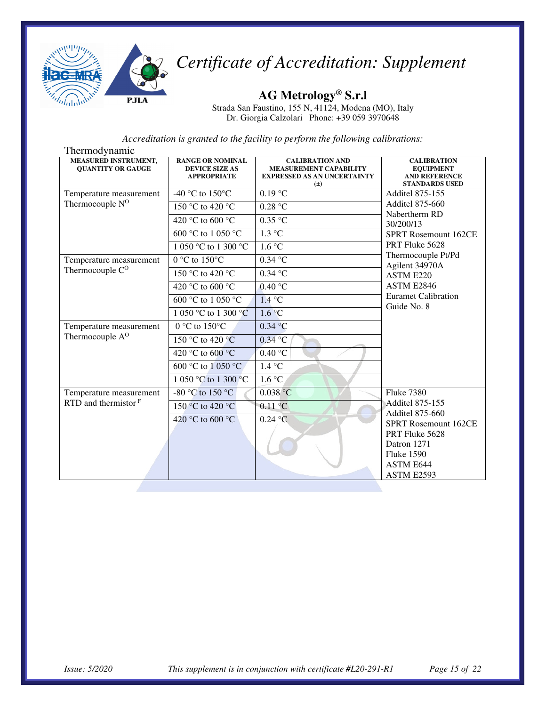

**AG Metrology® S.r.l** 

Strada San Faustino, 155 N, 41124, Modena (MO), Italy Dr. Giorgia Calzolari Phone: +39 059 3970648

| Thermodynamic                                           |                                                                        |                                                                                                          |                                                                                         |  |
|---------------------------------------------------------|------------------------------------------------------------------------|----------------------------------------------------------------------------------------------------------|-----------------------------------------------------------------------------------------|--|
| <b>MEASURED INSTRUMENT,</b><br><b>QUANTITY OR GAUGE</b> | <b>RANGE OR NOMINAL</b><br><b>DEVICE SIZE AS</b><br><b>APPROPRIATE</b> | <b>CALIBRATION AND</b><br><b>MEASUREMENT CAPABILITY</b><br><b>EXPRESSED AS AN UNCERTAINTY</b><br>$(\pm)$ | <b>CALIBRATION</b><br><b>EQUIPMENT</b><br><b>AND REFERENCE</b><br><b>STANDARDS USED</b> |  |
| Temperature measurement                                 | -40 °C to $150^{\circ}$ C                                              | $0.19$ °C                                                                                                | Additel 875-155                                                                         |  |
| Thermocouple N <sup>O</sup>                             | 150 °C to 420 °C                                                       | 0.28 °C                                                                                                  | <b>Additel 875-660</b><br>Nabertherm RD                                                 |  |
|                                                         | 420 °C to 600 °C                                                       | $0.35$ °C                                                                                                | 30/200/13                                                                               |  |
|                                                         | 600 °C to 1 050 °C                                                     | $1.3 \text{ °C}$                                                                                         | SPRT Rosemount 162CE                                                                    |  |
|                                                         | 1 050 °C to 1 300 °C                                                   | 1.6 °C                                                                                                   | PRT Fluke 5628                                                                          |  |
| Temperature measurement                                 | $0 °C$ to $150 °C$                                                     | $0.34$ °C                                                                                                | Thermocouple Pt/Pd<br>Agilent 34970A                                                    |  |
| Thermocouple $C^O$                                      | 150 °C to 420 °C                                                       | $0.34$ °C                                                                                                | ASTM E220                                                                               |  |
|                                                         | 420 °C to 600 °C                                                       | $0.40\degree C$                                                                                          | ASTM E2846                                                                              |  |
|                                                         | 600 °C to 1 050 °C                                                     | 1.4 °C                                                                                                   | <b>Euramet Calibration</b><br>Guide No. 8                                               |  |
|                                                         | 1 050 °C to 1 300 °C                                                   | 1.6 °C                                                                                                   |                                                                                         |  |
| Temperature measurement                                 | $0 °C$ to $150 °C$                                                     | 0.34 °C                                                                                                  |                                                                                         |  |
| Thermocouple A <sup>O</sup>                             | 150 °C to 420 °C                                                       | $0.34$ °C                                                                                                |                                                                                         |  |
|                                                         | 420 °C to 600 °C                                                       | 0.40 °C                                                                                                  |                                                                                         |  |
|                                                         | 600 °C to 1 050 °C                                                     | 1.4 °C                                                                                                   |                                                                                         |  |
|                                                         | 1 050 °C to 1 300 °C                                                   | 1.6 °C                                                                                                   |                                                                                         |  |
| Temperature measurement                                 | -80 °C to 150 °C                                                       | $0.038$ °C                                                                                               | <b>Fluke 7380</b>                                                                       |  |
| RTD and thermistor $F$                                  | 150 °C to 420 °C                                                       | $0.11$ °C                                                                                                | <b>Additel 875-155</b><br><b>Additel 875-660</b>                                        |  |
|                                                         | 420 °C to 600 °C                                                       | $0.24$ °C                                                                                                | <b>SPRT Rosemount 162CE</b>                                                             |  |
|                                                         |                                                                        |                                                                                                          | PRT Fluke 5628                                                                          |  |
|                                                         |                                                                        |                                                                                                          | Datron 1271                                                                             |  |
|                                                         |                                                                        |                                                                                                          | <b>Fluke 1590</b>                                                                       |  |
|                                                         |                                                                        |                                                                                                          | ASTM E644<br>ASTM E2593                                                                 |  |
|                                                         |                                                                        |                                                                                                          |                                                                                         |  |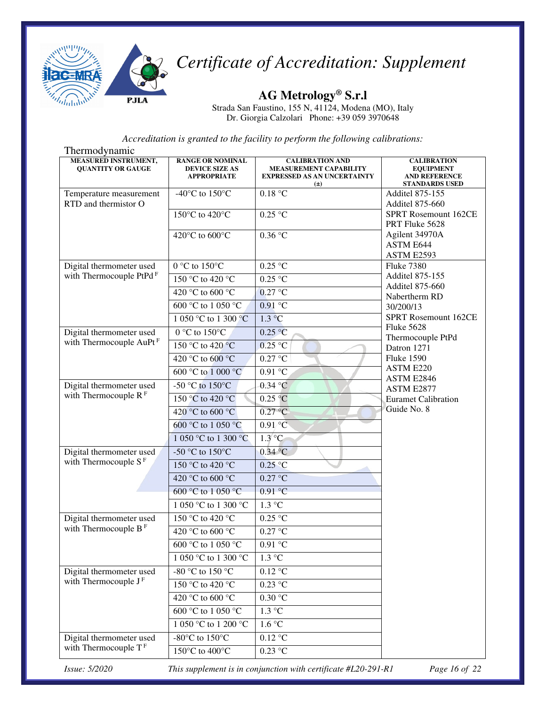

**AG Metrology® S.r.l** 

Strada San Faustino, 155 N, 41124, Modena (MO), Italy Dr. Giorgia Calzolari Phone: +39 059 3970648

*Accreditation is granted to the facility to perform the following calibrations:*

| Thermodynamic                                           |                                                                        |                                                                                                          |                                                                                         |
|---------------------------------------------------------|------------------------------------------------------------------------|----------------------------------------------------------------------------------------------------------|-----------------------------------------------------------------------------------------|
| <b>MEASURED INSTRUMENT,</b><br><b>QUANTITY OR GAUGE</b> | <b>RANGE OR NOMINAL</b><br><b>DEVICE SIZE AS</b><br><b>APPROPRIATE</b> | <b>CALIBRATION AND</b><br><b>MEASUREMENT CAPABILITY</b><br><b>EXPRESSED AS AN UNCERTAINTY</b><br>$(\pm)$ | <b>CALIBRATION</b><br><b>EQUIPMENT</b><br><b>AND REFERENCE</b><br><b>STANDARDS USED</b> |
| Temperature measurement                                 | -40 $^{\circ}$ C to 150 $^{\circ}$ C                                   | 0.18 °C                                                                                                  | <b>Additel 875-155</b>                                                                  |
| RTD and thermistor O                                    |                                                                        |                                                                                                          | <b>Additel 875-660</b>                                                                  |
|                                                         | 150°C to 420°C                                                         | $0.25$ °C                                                                                                | <b>SPRT Rosemount 162CE</b><br>PRT Fluke 5628                                           |
|                                                         | 420°C to 600°C                                                         | 0.36 °C                                                                                                  | Agilent 34970A<br>ASTM E644<br>ASTM E2593                                               |
| Digital thermometer used                                | $0^{\circ}$ C to $150^{\circ}$ C                                       | $0.25\,\mathrm{°C}$                                                                                      | <b>Fluke 7380</b>                                                                       |
| with Thermocouple PtPd <sup>F</sup>                     | 150 °C to 420 °C                                                       | $0.25$ °C                                                                                                | <b>Additel 875-155</b>                                                                  |
|                                                         | 420 °C to 600 °C                                                       | $0.27$ °C                                                                                                | <b>Additel 875-660</b><br>Nabertherm RD                                                 |
|                                                         | $600 °C$ to $1050 °C$                                                  | $0.91$ °C                                                                                                | 30/200/13                                                                               |
|                                                         | 1 050 °C to 1 300 °C                                                   | $1.3 \text{ °C}$                                                                                         | SPRT Rosemount 162CE                                                                    |
| Digital thermometer used                                | $0 °C$ to 150°C                                                        | 0.25 °C                                                                                                  | <b>Fluke 5628</b>                                                                       |
| with Thermocouple AuPt <sup>F</sup>                     | 150 °C to 420 °C                                                       | $0.25$ °C                                                                                                | Thermocouple PtPd<br>Datron 1271                                                        |
|                                                         | 420 °C to 600 °C                                                       | 0.27 °C                                                                                                  | <b>Fluke 1590</b>                                                                       |
|                                                         | 600 °C to 1 000 °C                                                     | 0.91 °C                                                                                                  | ASTM E220                                                                               |
| Digital thermometer used                                | -50 $\degree$ C to 150 $\degree$ C                                     | $0.34$ °C                                                                                                | ASTM E2846<br>ASTM E2877                                                                |
| with Thermocouple $RF$                                  | 150 °C to 420 °C                                                       | 0.25 °C                                                                                                  | <b>Euramet Calibration</b>                                                              |
|                                                         | 420 °C to 600 °C                                                       | 0.27 °C                                                                                                  | Guide No. 8                                                                             |
|                                                         | 600 °C to 1 050 °C                                                     | $0.91\textdegree C$                                                                                      |                                                                                         |
|                                                         | 1 050 °C to 1 300 °C                                                   | $1.3^{\circ}$ C                                                                                          |                                                                                         |
| Digital thermometer used                                | -50 °C to 150 °C                                                       | $0.34$ °C                                                                                                |                                                                                         |
| with Thermocouple $SF$                                  | 150 °C to 420 °C                                                       | 0.25 °C                                                                                                  |                                                                                         |
|                                                         | 420 °C to 600 °C                                                       | 0.27 °C                                                                                                  |                                                                                         |
|                                                         | 600 °C to 1 050 °C                                                     | 0.91 °C                                                                                                  |                                                                                         |
|                                                         | 1 050 °C to 1 300 °C                                                   | $1.3 \text{ °C}$                                                                                         |                                                                                         |
| Digital thermometer used                                | 150 °C to 420 °C                                                       | $0.25$ °C                                                                                                |                                                                                         |
| with Thermocouple $BF$                                  | 420 °C to 600 °C                                                       | 0.27 °C                                                                                                  |                                                                                         |
|                                                         | $600\ ^{\circ}\textrm{C}$ to $1\ 050\ ^{\circ}\textrm{C}$              | 0.91 °C                                                                                                  |                                                                                         |
|                                                         | 1 050 °C to 1 300 °C                                                   | 1.3 °C                                                                                                   |                                                                                         |
| Digital thermometer used<br>with Thermocouple JF        | -80 °C to 150 °C                                                       | $0.12\ ^{\circ}\textrm{C}$                                                                               |                                                                                         |
|                                                         | 150 °C to 420 °C                                                       | $0.23$ °C                                                                                                |                                                                                         |
|                                                         | 420 °C to 600 °C                                                       | 0.30 °C                                                                                                  |                                                                                         |
|                                                         | 600 °C to 1 050 °C                                                     | 1.3 °C                                                                                                   |                                                                                         |
|                                                         | 1 050 °C to 1 200 °C                                                   | 1.6 °C                                                                                                   |                                                                                         |
| Digital thermometer used<br>with Thermocouple $TF$      | -80 $^{\circ}$ C to 150 $^{\circ}$ C                                   | $0.12\ ^{\circ}\textrm{C}$                                                                               |                                                                                         |
|                                                         | $150^{\circ}$ C to $400^{\circ}$ C                                     | $0.23$ °C                                                                                                |                                                                                         |

*Issue: 5/2020 This supplement is in conjunction with certificate #L20-291-R1 Page 16 of 22*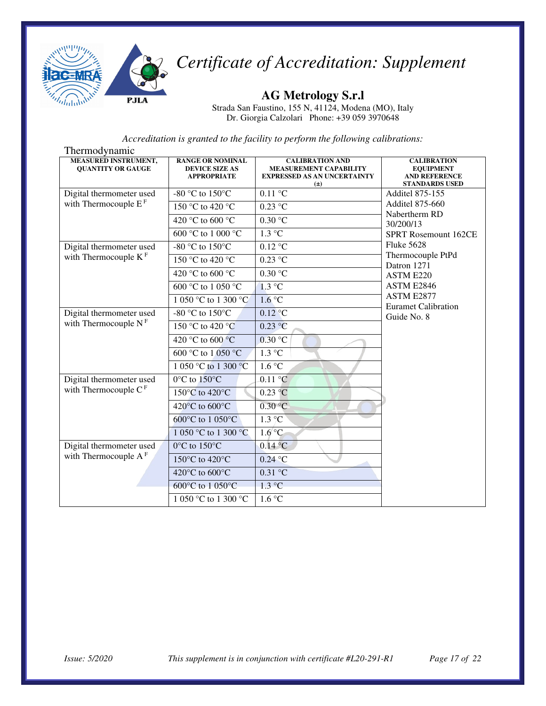

#### **AG Metrology S.r.l**

Strada San Faustino, 155 N, 41124, Modena (MO), Italy Dr. Giorgia Calzolari Phone: +39 059 3970648

| <b>MEASURED INSTRUMENT,</b><br><b>QUANTITY OR GAUGE</b> | <b>RANGE OR NOMINAL</b><br><b>DEVICE SIZE AS</b><br><b>APPROPRIATE</b> | <b>CALIBRATION AND</b><br><b>MEASUREMENT CAPABILITY</b><br><b>EXPRESSED AS AN UNCERTAINTY</b><br>$(\pm)$ | <b>CALIBRATION</b><br><b>EQUIPMENT</b><br><b>AND REFERENCE</b><br><b>STANDARDS USED</b> |
|---------------------------------------------------------|------------------------------------------------------------------------|----------------------------------------------------------------------------------------------------------|-----------------------------------------------------------------------------------------|
| Digital thermometer used                                | -80 °C to 150 °C                                                       | $0.11$ °C                                                                                                | <b>Additel 875-155</b>                                                                  |
| with Thermocouple $EF$                                  | 150 °C to 420 °C                                                       | $0.23$ °C                                                                                                | <b>Additel 875-660</b><br>Nabertherm RD                                                 |
|                                                         | 420 °C to 600 °C                                                       | 0.30 °C                                                                                                  | 30/200/13                                                                               |
|                                                         | 600 °C to 1 000 °C                                                     | $1.3 \text{ °C}$                                                                                         | <b>SPRT Rosemount 162CE</b>                                                             |
| Digital thermometer used                                | -80 °C to 150°C                                                        | $0.12$ °C                                                                                                | <b>Fluke 5628</b>                                                                       |
| with Thermocouple $KF$                                  | 150 °C to 420 °C                                                       | $0.23 \text{ °C}$                                                                                        | Thermocouple PtPd<br>Datron 1271                                                        |
|                                                         | 420 °C to 600 °C                                                       | 0.30 °C                                                                                                  | ASTM E220                                                                               |
|                                                         | 600 °C to 1 050 °C                                                     | $1.3 \text{ °C}$                                                                                         | ASTM E2846                                                                              |
|                                                         | 1 050 °C to 1 300 °C                                                   | $1.6^{\circ}C$                                                                                           | ASTM E2877<br><b>Euramet Calibration</b>                                                |
| Digital thermometer used                                | -80 °C to 150 °C                                                       | $0.12$ °C                                                                                                | Guide No. 8                                                                             |
| with Thermocouple $NF$                                  | 150 °C to 420 °C                                                       | 0.23 °C                                                                                                  |                                                                                         |
|                                                         | 420 °C to 600 °C                                                       | 0.30 °C                                                                                                  |                                                                                         |
|                                                         | 600 °C to 1 050 °C                                                     | $1.3 \text{ °C}$                                                                                         |                                                                                         |
|                                                         | 1 050 °C to 1 300 °C                                                   | 1.6 °C                                                                                                   |                                                                                         |
| Digital thermometer used                                | $0^{\circ}$ C to $150^{\circ}$ C                                       | $0.11$ °C                                                                                                |                                                                                         |
| with Thermocouple $CF$                                  | 150°C to 420°C                                                         | $0.23$ °C                                                                                                |                                                                                         |
|                                                         | 420°C to 600°C                                                         | 0.30 °C                                                                                                  |                                                                                         |
|                                                         | 600°C to 1 050°C                                                       | $1.3\degree C$                                                                                           |                                                                                         |
|                                                         | 1 050 °C to 1 300 °C                                                   | $1.6^{\circ}$ C                                                                                          |                                                                                         |
| Digital thermometer used<br>with Thermocouple $A^F$     | $0^{\circ}$ C to 150 $^{\circ}$ C                                      | $0.14$ °C                                                                                                |                                                                                         |
|                                                         | 150 $\mathrm{^{\circ}C}$ to 420 $\mathrm{^{\circ}C}$                   | $0.24$ °C                                                                                                |                                                                                         |
|                                                         | 420°C to 600°C                                                         | $0.31$ °C                                                                                                |                                                                                         |
|                                                         | 600°C to 1 050°C                                                       | $1.3 \text{ °C}$                                                                                         |                                                                                         |
|                                                         | 1 050 °C to 1 300 °C                                                   | 1.6 °C                                                                                                   |                                                                                         |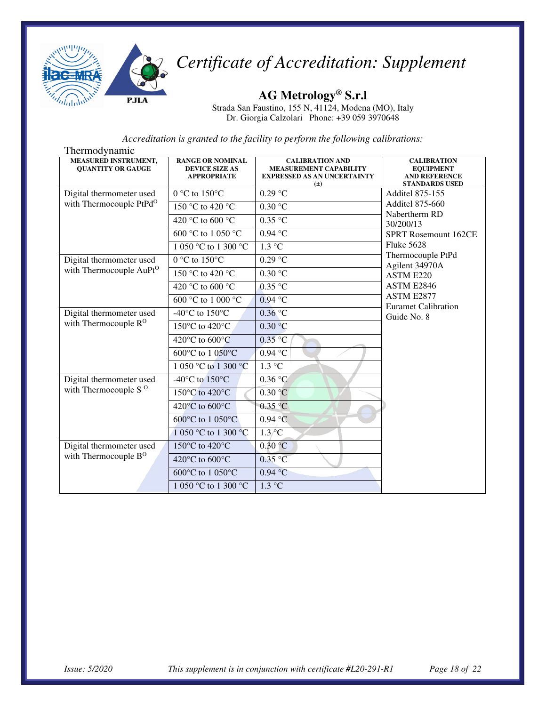

**AG Metrology® S.r.l** 

Strada San Faustino, 155 N, 41124, Modena (MO), Italy Dr. Giorgia Calzolari Phone: +39 059 3970648

| Thermodynamic                                           |                                                                        |                                                                                                          |                                                                                         |  |
|---------------------------------------------------------|------------------------------------------------------------------------|----------------------------------------------------------------------------------------------------------|-----------------------------------------------------------------------------------------|--|
| <b>MEASURED INSTRUMENT,</b><br><b>QUANTITY OR GAUGE</b> | <b>RANGE OR NOMINAL</b><br><b>DEVICE SIZE AS</b><br><b>APPROPRIATE</b> | <b>CALIBRATION AND</b><br><b>MEASUREMENT CAPABILITY</b><br><b>EXPRESSED AS AN UNCERTAINTY</b><br>$(\pm)$ | <b>CALIBRATION</b><br><b>EQUIPMENT</b><br><b>AND REFERENCE</b><br><b>STANDARDS USED</b> |  |
| Digital thermometer used                                | $0 °C$ to $150 °C$                                                     | $0.29$ °C                                                                                                | <b>Additel 875-155</b>                                                                  |  |
| with Thermocouple PtPd <sup>O</sup>                     | 150 °C to 420 °C                                                       | 0.30 °C                                                                                                  | <b>Additel 875-660</b><br>Nabertherm RD                                                 |  |
|                                                         | 420 °C to 600 °C                                                       | $0.35$ °C                                                                                                | 30/200/13                                                                               |  |
|                                                         | 600 °C to 1 050 °C                                                     | $0.94$ °C                                                                                                | SPRT Rosemount 162CE                                                                    |  |
|                                                         | 1 050 °C to 1 300 °C                                                   | $1.3 \text{ °C}$                                                                                         | <b>Fluke 5628</b>                                                                       |  |
| Digital thermometer used                                | $0 °C$ to $150 °C$                                                     | $0.29$ °C                                                                                                | Thermocouple PtPd<br>Agilent 34970A                                                     |  |
| with Thermocouple AuPt <sup>O</sup>                     | 150 °C to 420 °C                                                       | 0.30 °C                                                                                                  | ASTM E220                                                                               |  |
|                                                         | 420 °C to 600 °C                                                       | $0.35$ °C                                                                                                | ASTM E2846                                                                              |  |
|                                                         | 600 °C to 1 000 °C                                                     | $0.94$ °C                                                                                                | ASTM E2877<br><b>Euramet Calibration</b>                                                |  |
| Digital thermometer used                                | -40 $^{\circ}$ C to 150 $^{\circ}$ C                                   | $0.36$ °C                                                                                                | Guide No. 8                                                                             |  |
| with Thermocouple R <sup>O</sup>                        | 150°C to 420°C                                                         | 0.30 °C                                                                                                  |                                                                                         |  |
|                                                         | 420°C to 600°C                                                         | $0.35$ °C                                                                                                |                                                                                         |  |
|                                                         | 600°C to 1 050°C                                                       | $0.94$ °C                                                                                                |                                                                                         |  |
|                                                         | 1 050 °C to 1 300 °C                                                   | $1.3 \text{ °C}$                                                                                         |                                                                                         |  |
| Digital thermometer used                                | -40 $\rm{^{\circ}C}$ to 150 $\rm{^{\circ}C}$                           | 0.36 °C                                                                                                  |                                                                                         |  |
| with Thermocouple S $^{\rm o}$                          | 150°C to 420°C                                                         | 0.30 °C                                                                                                  |                                                                                         |  |
|                                                         | 420°C to 600°C                                                         | 0.35 °C                                                                                                  |                                                                                         |  |
|                                                         | 600°C to 1 050°C                                                       | 0.94 °C                                                                                                  |                                                                                         |  |
|                                                         | 1 050 °C to 1 300 °C                                                   | $1.3\degree$ C                                                                                           |                                                                                         |  |
| Digital thermometer used                                | 150°C to 420°C                                                         | 0.30 °C                                                                                                  |                                                                                         |  |
| with Thermocouple B <sup>O</sup>                        | 420 $\rm{^{\circ}C}$ to 600 $\rm{^{\circ}C}$                           | $0.35$ °C                                                                                                |                                                                                         |  |
|                                                         | 600°C to 1 050°C                                                       | $0.94$ °C                                                                                                |                                                                                         |  |
|                                                         | 1 050 °C to 1 300 °C                                                   | $1.3 \text{ °C}$                                                                                         |                                                                                         |  |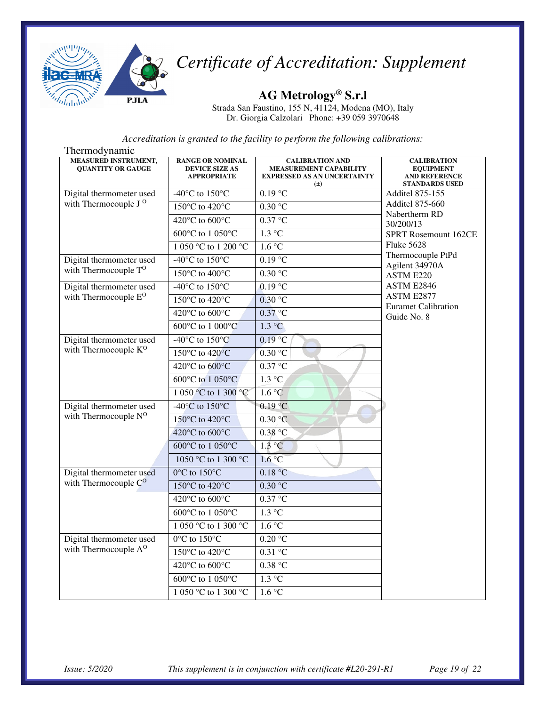

**AG Metrology® S.r.l** 

Strada San Faustino, 155 N, 41124, Modena (MO), Italy Dr. Giorgia Calzolari Phone: +39 059 3970648

| Thermodynamic                                                |                                                                        |                                                                                                          |                                                                                         |
|--------------------------------------------------------------|------------------------------------------------------------------------|----------------------------------------------------------------------------------------------------------|-----------------------------------------------------------------------------------------|
| <b>MEASURED INSTRUMENT,</b><br><b>QUANTITY OR GAUGE</b>      | <b>RANGE OR NOMINAL</b><br><b>DEVICE SIZE AS</b><br><b>APPROPRIATE</b> | <b>CALIBRATION AND</b><br><b>MEASUREMENT CAPABILITY</b><br><b>EXPRESSED AS AN UNCERTAINTY</b><br>$(\pm)$ | <b>CALIBRATION</b><br><b>EQUIPMENT</b><br><b>AND REFERENCE</b><br><b>STANDARDS USED</b> |
| Digital thermometer used                                     | -40°C to $150^{\circ}$ C                                               | $0.19$ °C                                                                                                | Additel 875-155                                                                         |
| with Thermocouple J <sup>O</sup>                             | 150°C to 420°C                                                         | 0.30 °C                                                                                                  | <b>Additel 875-660</b><br>Nabertherm RD                                                 |
|                                                              | 420°C to 600°C                                                         | 0.37 °C                                                                                                  | 30/200/13                                                                               |
|                                                              | 600°C to 1 050°C                                                       | $1.3 \text{ °C}$                                                                                         | SPRT Rosemount 162CE                                                                    |
|                                                              | 1 050 °C to 1 200 °C                                                   | 1.6 °C                                                                                                   | <b>Fluke 5628</b>                                                                       |
| Digital thermometer used                                     | -40 $^{\circ}$ C to 150 $^{\circ}$ C                                   | 0.19 °C                                                                                                  | Thermocouple PtPd<br>Agilent 34970A                                                     |
| with Thermocouple T <sup>O</sup>                             | 150°C to 400°C                                                         | 0.30 °C                                                                                                  | ASTM E220                                                                               |
| Digital thermometer used                                     | -40 $^{\circ}$ C to 150 $^{\circ}$ C                                   | $0.19$ °C                                                                                                | ASTM E2846                                                                              |
| with Thermocouple E <sup>O</sup>                             | 150°C to 420°C                                                         | $0.30$ °C                                                                                                | ASTM E2877<br><b>Euramet Calibration</b>                                                |
|                                                              | 420°C to 600°C                                                         | $0.37$ °C                                                                                                | Guide No. 8                                                                             |
|                                                              | 600°C to 1 000°C                                                       | $1.3 \text{ °C}$                                                                                         |                                                                                         |
| Digital thermometer used                                     | -40 $^{\circ}$ C to 150 $^{\circ}$ C                                   | $0.19$ °C                                                                                                |                                                                                         |
| with Thermocouple K <sup>O</sup>                             | 150°C to 420°C                                                         | 0.30 °C                                                                                                  |                                                                                         |
|                                                              | 420°C to 600°C                                                         | $0.37 \text{ °C}$                                                                                        |                                                                                         |
|                                                              | 600°C to 1 050°C                                                       | $1.3 \text{ °C}$                                                                                         |                                                                                         |
|                                                              | 1 050 °C to 1 300 °C                                                   | 1.6 °C                                                                                                   |                                                                                         |
| Digital thermometer used                                     | -40 $^{\circ}$ C to 150 $^{\circ}$ C                                   | 0.19 °C                                                                                                  |                                                                                         |
| with Thermocouple N <sup>O</sup>                             | 150°C to 420°C                                                         | 0.30 °C                                                                                                  |                                                                                         |
|                                                              | 420°C to 600°C                                                         | 0.38 °C                                                                                                  |                                                                                         |
|                                                              | 600°C to 1 050°C                                                       | 1.3 °C                                                                                                   |                                                                                         |
|                                                              | 1050 °C to 1 300 °C                                                    | 1.6 °C                                                                                                   |                                                                                         |
| Digital thermometer used                                     | $0^{\circ}$ C to $150^{\circ}$ C                                       | 0.18 °C                                                                                                  |                                                                                         |
| with Thermocouple C <sup>O</sup>                             | 150°C to 420°C                                                         | 0.30 °C                                                                                                  |                                                                                         |
|                                                              | 420°C to 600°C                                                         | $0.37$ °C                                                                                                |                                                                                         |
|                                                              | 600°C to 1 050°C                                                       | $1.3 \text{ °C}$                                                                                         |                                                                                         |
|                                                              | 1 050 °C to 1 300 °C                                                   | 1.6 °C                                                                                                   |                                                                                         |
| Digital thermometer used<br>with Thermocouple A <sup>O</sup> | $0^{\circ}$ C to $150^{\circ}$ C                                       | $0.20\text{ °C}$                                                                                         |                                                                                         |
|                                                              | 150°C to 420°C                                                         | 0.31 °C                                                                                                  |                                                                                         |
|                                                              | 420°C to 600°C                                                         | 0.38 °C                                                                                                  |                                                                                         |
|                                                              | 600°C to 1 050°C                                                       | $1.3 \text{ °C}$                                                                                         |                                                                                         |
|                                                              | 1 050 °C to 1 300 °C                                                   | 1.6 °C                                                                                                   |                                                                                         |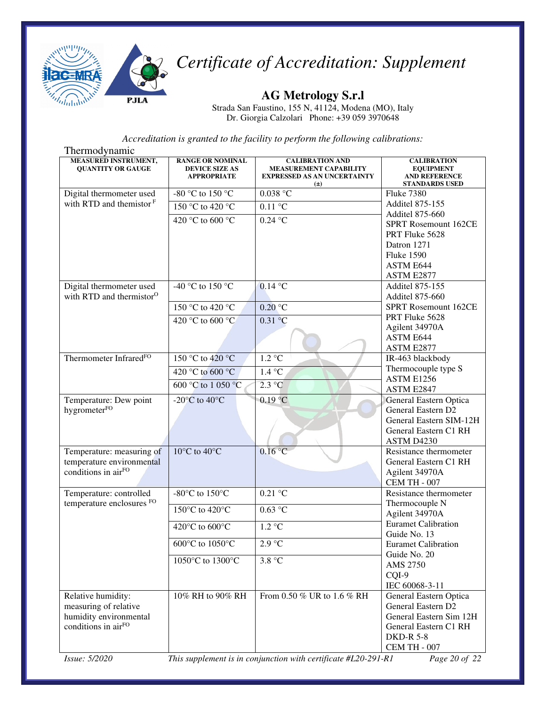

**AG Metrology S.r.l** 

Strada San Faustino, 155 N, 41124, Modena (MO), Italy Dr. Giorgia Calzolari Phone: +39 059 3970648

*Accreditation is granted to the facility to perform the following calibrations:*

| Thermodynamic                                           |                                                                        |                                                                                                          |                                                                                         |
|---------------------------------------------------------|------------------------------------------------------------------------|----------------------------------------------------------------------------------------------------------|-----------------------------------------------------------------------------------------|
| <b>MEASURED INSTRUMENT,</b><br><b>QUANTITY OR GAUGE</b> | <b>RANGE OR NOMINAL</b><br><b>DEVICE SIZE AS</b><br><b>APPROPRIATE</b> | <b>CALIBRATION AND</b><br><b>MEASUREMENT CAPABILITY</b><br><b>EXPRESSED AS AN UNCERTAINTY</b><br>$(\pm)$ | <b>CALIBRATION</b><br><b>EQUIPMENT</b><br><b>AND REFERENCE</b><br><b>STANDARDS USED</b> |
| Digital thermometer used                                | -80 °C to 150 °C                                                       | $0.038\ ^{\circ}\textrm{C}$                                                                              | <b>Fluke 7380</b>                                                                       |
| with RTD and the<br>mistor $F$                          | 150 °C to 420 °C                                                       | $0.11^{\circ}$ C                                                                                         | Additel 875-155                                                                         |
|                                                         |                                                                        |                                                                                                          | <b>Additel 875-660</b>                                                                  |
|                                                         | 420 °C to 600 °C                                                       | $0.24$ °C                                                                                                | SPRT Rosemount 162CE                                                                    |
|                                                         |                                                                        |                                                                                                          | PRT Fluke 5628                                                                          |
|                                                         |                                                                        |                                                                                                          | Datron 1271                                                                             |
|                                                         |                                                                        |                                                                                                          | <b>Fluke 1590</b>                                                                       |
|                                                         |                                                                        |                                                                                                          | ASTM E644                                                                               |
|                                                         |                                                                        |                                                                                                          | ASTM E2877                                                                              |
| Digital thermometer used                                | -40 °C to 150 °C                                                       | $0.14$ °C                                                                                                | <b>Additel 875-155</b>                                                                  |
| with RTD and thermistor <sup>O</sup>                    |                                                                        |                                                                                                          | <b>Additel 875-660</b>                                                                  |
|                                                         | 150 °C to 420 °C                                                       | $0.20\text{ °C}$                                                                                         | SPRT Rosemount 162CE                                                                    |
|                                                         | 420 °C to 600 °C                                                       | 0.31 °C                                                                                                  | PRT Fluke 5628                                                                          |
|                                                         |                                                                        |                                                                                                          | Agilent 34970A                                                                          |
|                                                         |                                                                        |                                                                                                          | ASTM E644                                                                               |
| Thermometer Infrared <sup>FO</sup>                      |                                                                        |                                                                                                          | ASTM E2877                                                                              |
|                                                         | 150 °C to 420 °C                                                       | 1.2 °C                                                                                                   | IR-463 blackbody                                                                        |
|                                                         | 420 °C to 600 °C                                                       | 1.4 °C                                                                                                   | Thermocouple type S<br>ASTM E1256                                                       |
|                                                         | 600 °C to 1 050 °C                                                     | $2.3 \text{ °C}$                                                                                         | ASTM E2847                                                                              |
| Temperature: Dew point                                  | -20 $^{\circ}$ C to 40 $^{\circ}$ C                                    | $0.19$ °C                                                                                                | General Eastern Optica                                                                  |
| hygrometerFO                                            |                                                                        |                                                                                                          | General Eastern D2                                                                      |
|                                                         |                                                                        |                                                                                                          | General Eastern SIM-12H                                                                 |
|                                                         |                                                                        |                                                                                                          | General Eastern C1 RH                                                                   |
|                                                         |                                                                        |                                                                                                          | ASTM D4230                                                                              |
| Temperature: measuring of                               | $10^{\circ}$ C to $40^{\circ}$ C                                       | $0.16\text{ °C}$                                                                                         | Resistance thermometer                                                                  |
| temperature environmental                               |                                                                        |                                                                                                          | General Eastern C1 RH                                                                   |
| conditions in airFO                                     |                                                                        |                                                                                                          | Agilent 34970A                                                                          |
|                                                         |                                                                        |                                                                                                          | <b>CEM TH - 007</b>                                                                     |
| Temperature: controlled                                 | -80 $\mathrm{^{\circ}C}$ to 150 $\mathrm{^{\circ}C}$                   | $0.21$ °C                                                                                                | Resistance thermometer                                                                  |
| temperature enclosures FO                               |                                                                        |                                                                                                          | Thermocouple N                                                                          |
|                                                         | 150°C to 420°C                                                         | 0.63 °C                                                                                                  | Agilent 34970A                                                                          |
|                                                         | 420°C to 600°C                                                         | $1.2 \text{ °C}$                                                                                         | <b>Euramet Calibration</b>                                                              |
|                                                         |                                                                        |                                                                                                          | Guide No. 13                                                                            |
|                                                         | 600°C to 1050°C                                                        | $2.9\ ^{\circ}\textrm{C}$                                                                                | <b>Euramet Calibration</b>                                                              |
|                                                         | 1050°C to 1300°C                                                       | 3.8 °C                                                                                                   | Guide No. 20                                                                            |
|                                                         |                                                                        |                                                                                                          | AMS 2750                                                                                |
|                                                         |                                                                        |                                                                                                          | CQI-9                                                                                   |
|                                                         |                                                                        |                                                                                                          | IEC 60068-3-11                                                                          |
| Relative humidity:                                      | 10% RH to 90% RH                                                       | From 0.50 % UR to 1.6 % RH                                                                               | General Eastern Optica                                                                  |
| measuring of relative                                   |                                                                        |                                                                                                          | General Eastern D2                                                                      |
| humidity environmental                                  |                                                                        |                                                                                                          | General Eastern Sim 12H                                                                 |
| conditions in airFO                                     |                                                                        |                                                                                                          | General Eastern C1 RH<br><b>DKD-R 5-8</b>                                               |
|                                                         |                                                                        |                                                                                                          | <b>CEM TH - 007</b>                                                                     |
|                                                         |                                                                        |                                                                                                          |                                                                                         |

*Issue: 5/2020 This supplement is in conjunction with certificate #L20-291-R1 Page 20 of 22*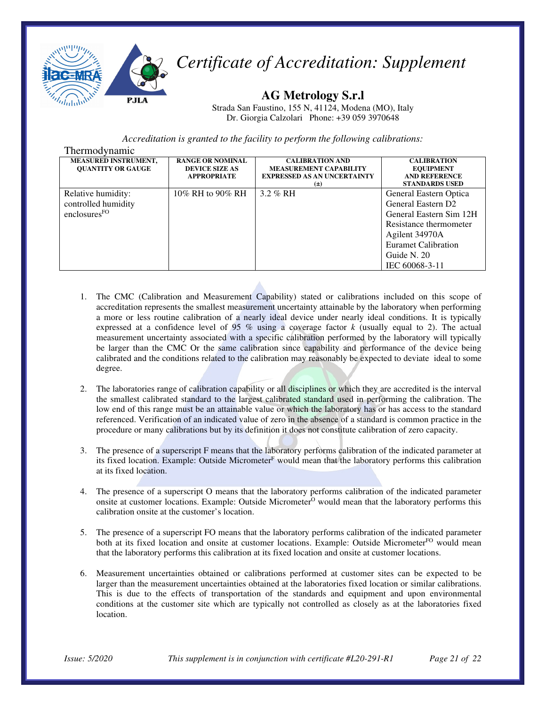

**AG Metrology S.r.l** 

Strada San Faustino, 155 N, 41124, Modena (MO), Italy Dr. Giorgia Calzolari Phone: +39 059 3970648

| Thermodynamic                                                         |                                                                        |                                                                                                          |                                                                                                                                                                                                |
|-----------------------------------------------------------------------|------------------------------------------------------------------------|----------------------------------------------------------------------------------------------------------|------------------------------------------------------------------------------------------------------------------------------------------------------------------------------------------------|
| <b>MEASURED INSTRUMENT,</b><br><b>OUANTITY OR GAUGE</b>               | <b>RANGE OR NOMINAL</b><br><b>DEVICE SIZE AS</b><br><b>APPROPRIATE</b> | <b>CALIBRATION AND</b><br><b>MEASUREMENT CAPABILITY</b><br><b>EXPRESSED AS AN UNCERTAINTY</b><br>$(\pm)$ | <b>CALIBRATION</b><br><b>EQUIPMENT</b><br><b>AND REFERENCE</b><br><b>STANDARDS USED</b>                                                                                                        |
| Relative humidity:<br>controlled humidity<br>enclosures <sup>FO</sup> | 10% RH to 90% RH                                                       | $3.2 \%$ RH                                                                                              | General Eastern Optica<br>General Eastern D <sub>2</sub><br>General Eastern Sim 12H<br>Resistance thermometer<br>Agilent 34970A<br><b>Euramet Calibration</b><br>Guide N. 20<br>IEC 60068-3-11 |

- 1. The CMC (Calibration and Measurement Capability) stated or calibrations included on this scope of accreditation represents the smallest measurement uncertainty attainable by the laboratory when performing a more or less routine calibration of a nearly ideal device under nearly ideal conditions. It is typically expressed at a confidence level of 95 % using a coverage factor *k* (usually equal to 2). The actual measurement uncertainty associated with a specific calibration performed by the laboratory will typically be larger than the CMC Or the same calibration since capability and performance of the device being calibrated and the conditions related to the calibration may reasonably be expected to deviate ideal to some degree.
- 2. The laboratories range of calibration capability or all disciplines or which they are accredited is the interval the smallest calibrated standard to the largest calibrated standard used in performing the calibration. The low end of this range must be an attainable value or which the laboratory has or has access to the standard referenced. Verification of an indicated value of zero in the absence of a standard is common practice in the procedure or many calibrations but by its definition it does not constitute calibration of zero capacity.
- 3. The presence of a superscript F means that the laboratory performs calibration of the indicated parameter at its fixed location. Example: Outside Micrometer<sup>F</sup> would mean that the laboratory performs this calibration at its fixed location.
- 4. The presence of a superscript O means that the laboratory performs calibration of the indicated parameter onsite at customer locations. Example: Outside Micrometer<sup>O</sup> would mean that the laboratory performs this calibration onsite at the customer's location.
- 5. The presence of a superscript FO means that the laboratory performs calibration of the indicated parameter both at its fixed location and onsite at customer locations. Example: Outside Micrometer<sup>FO</sup> would mean that the laboratory performs this calibration at its fixed location and onsite at customer locations.
- 6. Measurement uncertainties obtained or calibrations performed at customer sites can be expected to be larger than the measurement uncertainties obtained at the laboratories fixed location or similar calibrations. This is due to the effects of transportation of the standards and equipment and upon environmental conditions at the customer site which are typically not controlled as closely as at the laboratories fixed location.